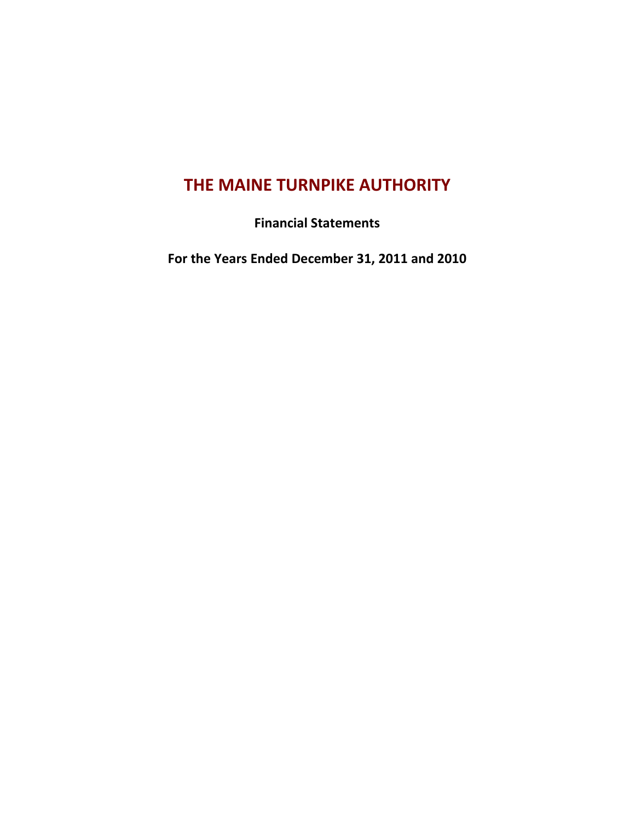# **THE MAINE TURNPIKE AUTHORITY**

**Financial Statements**

**For the Years Ended December 31, 2011 and 2010**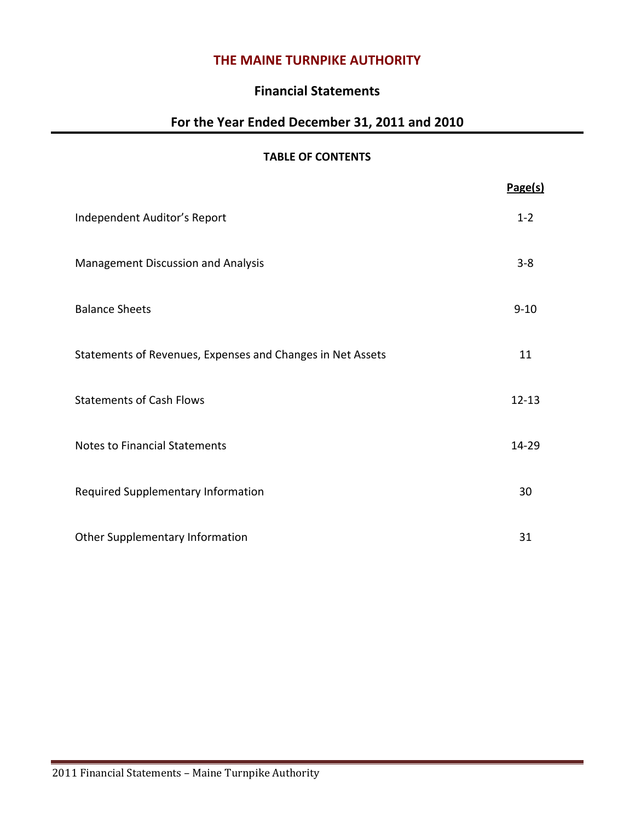## **THE MAINE TURNPIKE AUTHORITY**

## **Financial Statements**

## **For the Year Ended December 31, 2011 and 2010**

#### **TABLE OF CONTENTS**

|                                                            | Page(s)   |
|------------------------------------------------------------|-----------|
| Independent Auditor's Report                               | $1 - 2$   |
| Management Discussion and Analysis                         | $3 - 8$   |
| <b>Balance Sheets</b>                                      | $9 - 10$  |
| Statements of Revenues, Expenses and Changes in Net Assets | 11        |
| <b>Statements of Cash Flows</b>                            | $12 - 13$ |
| <b>Notes to Financial Statements</b>                       | 14-29     |
| Required Supplementary Information                         | 30        |
| Other Supplementary Information                            | 31        |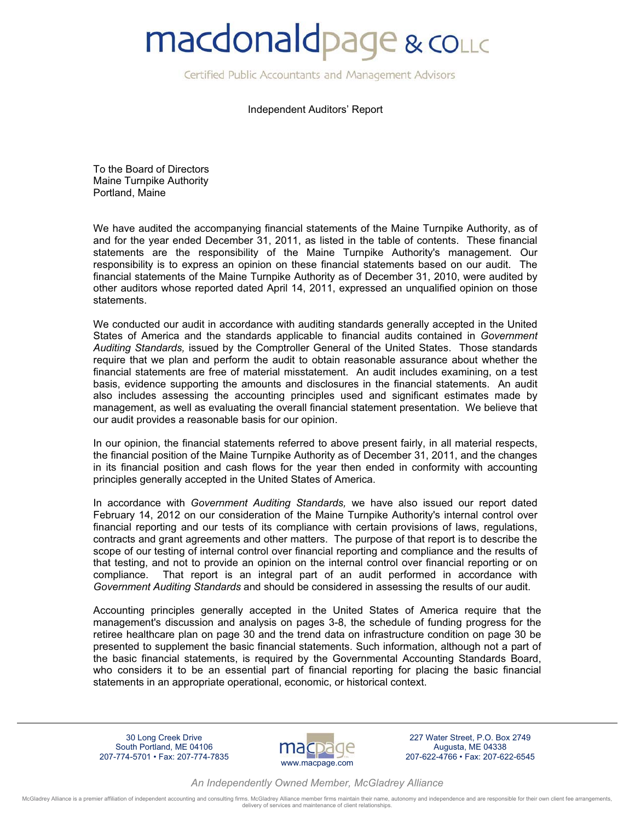# **macdonaldpage & collic**

Certified Public Accountants and Management Advisors

Independent Auditors' Report

To the Board of Directors Maine Turnpike Authority Portland, Maine

We have audited the accompanying financial statements of the Maine Turnpike Authority, as of and for the year ended December 31, 2011, as listed in the table of contents. These financial statements are the responsibility of the Maine Turnpike Authority's management. Our responsibility is to express an opinion on these financial statements based on our audit. The financial statements of the Maine Turnpike Authority as of December 31, 2010, were audited by other auditors whose reported dated April 14, 2011, expressed an unqualified opinion on those statements.

We conducted our audit in accordance with auditing standards generally accepted in the United States of America and the standards applicable to financial audits contained in *Government Auditing Standards,* issued by the Comptroller General of the United States. Those standards require that we plan and perform the audit to obtain reasonable assurance about whether the financial statements are free of material misstatement. An audit includes examining, on a test basis, evidence supporting the amounts and disclosures in the financial statements. An audit also includes assessing the accounting principles used and significant estimates made by management, as well as evaluating the overall financial statement presentation. We believe that our audit provides a reasonable basis for our opinion.

In our opinion, the financial statements referred to above present fairly, in all material respects, the financial position of the Maine Turnpike Authority as of December 31, 2011, and the changes in its financial position and cash flows for the year then ended in conformity with accounting principles generally accepted in the United States of America.

In accordance with *Government Auditing Standards,* we have also issued our report dated February 14, 2012 on our consideration of the Maine Turnpike Authority's internal control over financial reporting and our tests of its compliance with certain provisions of laws, regulations, contracts and grant agreements and other matters. The purpose of that report is to describe the scope of our testing of internal control over financial reporting and compliance and the results of that testing, and not to provide an opinion on the internal control over financial reporting or on compliance. That report is an integral part of an audit performed in accordance with *Government Auditing Standards* and should be considered in assessing the results of our audit.

Accounting principles generally accepted in the United States of America require that the management's discussion and analysis on pages 3-8, the schedule of funding progress for the retiree healthcare plan on page 30 and the trend data on infrastructure condition on page 30 be presented to supplement the basic financial statements. Such information, although not a part of the basic financial statements, is required by the Governmental Accounting Standards Board, who considers it to be an essential part of financial reporting for placing the basic financial statements in an appropriate operational, economic, or historical context.

30 Long Creek Drive South Portland, ME 04106 207-774-5701 • Fax: 207-774-7835



227 Water Street, P.O. Box 2749 Augusta, ME 04338 207-622-4766 • Fax: 207-622-6545

*An Independently Owned Member, McGladrey Alliance*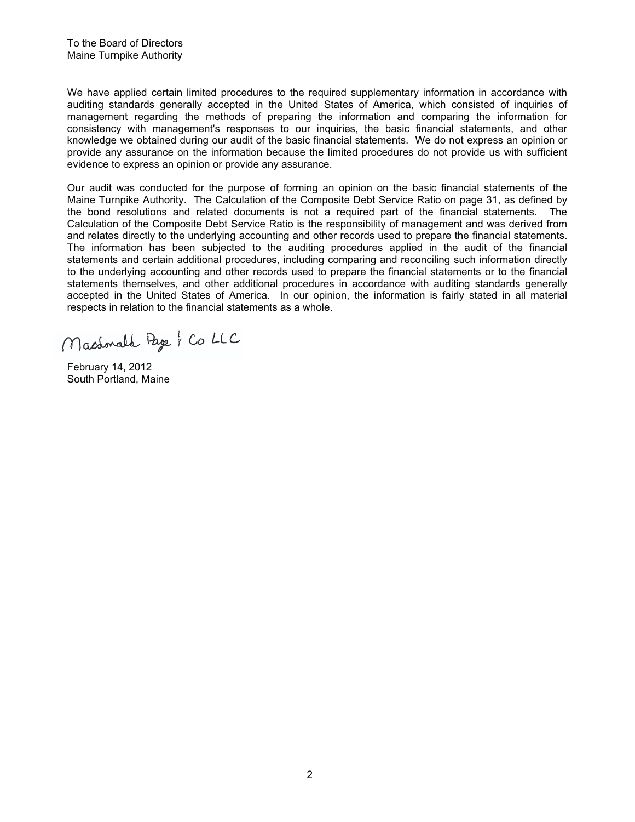We have applied certain limited procedures to the required supplementary information in accordance with auditing standards generally accepted in the United States of America, which consisted of inquiries of management regarding the methods of preparing the information and comparing the information for consistency with management's responses to our inquiries, the basic financial statements, and other knowledge we obtained during our audit of the basic financial statements. We do not express an opinion or provide any assurance on the information because the limited procedures do not provide us with sufficient evidence to express an opinion or provide any assurance.

Our audit was conducted for the purpose of forming an opinion on the basic financial statements of the Maine Turnpike Authority. The Calculation of the Composite Debt Service Ratio on page 31, as defined by the bond resolutions and related documents is not a required part of the financial statements. The Calculation of the Composite Debt Service Ratio is the responsibility of management and was derived from and relates directly to the underlying accounting and other records used to prepare the financial statements. The information has been subjected to the auditing procedures applied in the audit of the financial statements and certain additional procedures, including comparing and reconciling such information directly to the underlying accounting and other records used to prepare the financial statements or to the financial statements themselves, and other additional procedures in accordance with auditing standards generally accepted in the United States of America. In our opinion, the information is fairly stated in all material respects in relation to the financial statements as a whole.

Machonald Page ; Co LLC

February 14, 2012 South Portland, Maine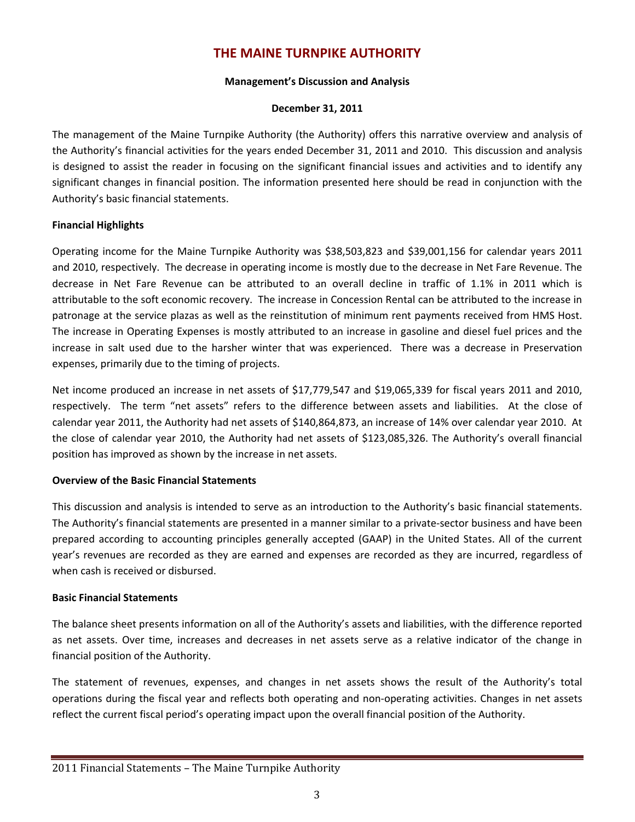## **THE MAINE TURNPIKE AUTHORITY**

#### **Management's Discussion and Analysis**

#### **December 31, 2011**

The management of the Maine Turnpike Authority (the Authority) offers this narrative overview and analysis of the Authority's financial activities for the years ended December 31, 2011 and 2010. This discussion and analysis is designed to assist the reader in focusing on the significant financial issues and activities and to identify any significant changes in financial position. The information presented here should be read in conjunction with the Authority's basic financial statements.

#### **Financial Highlights**

Operating income for the Maine Turnpike Authority was \$38,503,823 and \$39,001,156 for calendar years 2011 and 2010, respectively. The decrease in operating income is mostly due to the decrease in Net Fare Revenue. The decrease in Net Fare Revenue can be attributed to an overall decline in traffic of 1.1% in 2011 which is attributable to the soft economic recovery. The increase in Concession Rental can be attributed to the increase in patronage at the service plazas as well as the reinstitution of minimum rent payments received from HMS Host. The increase in Operating Expenses is mostly attributed to an increase in gasoline and diesel fuel prices and the increase in salt used due to the harsher winter that was experienced. There was a decrease in Preservation expenses, primarily due to the timing of projects.

Net income produced an increase in net assets of \$17,779,547 and \$19,065,339 for fiscal years 2011 and 2010, respectively. The term "net assets" refers to the difference between assets and liabilities. At the close of calendar year 2011, the Authority had net assets of \$140,864,873, an increase of 14% over calendar year 2010. At the close of calendar year 2010, the Authority had net assets of \$123,085,326. The Authority's overall financial position has improved as shown by the increase in net assets.

#### **Overview of the Basic Financial Statements**

This discussion and analysis is intended to serve as an introduction to the Authority's basic financial statements. The Authority's financial statements are presented in a manner similar to a private‐sector business and have been prepared according to accounting principles generally accepted (GAAP) in the United States. All of the current year's revenues are recorded as they are earned and expenses are recorded as they are incurred, regardless of when cash is received or disbursed.

#### **Basic Financial Statements**

The balance sheet presents information on all of the Authority's assets and liabilities, with the difference reported as net assets. Over time, increases and decreases in net assets serve as a relative indicator of the change in financial position of the Authority.

The statement of revenues, expenses, and changes in net assets shows the result of the Authority's total operations during the fiscal year and reflects both operating and non‐operating activities. Changes in net assets reflect the current fiscal period's operating impact upon the overall financial position of the Authority.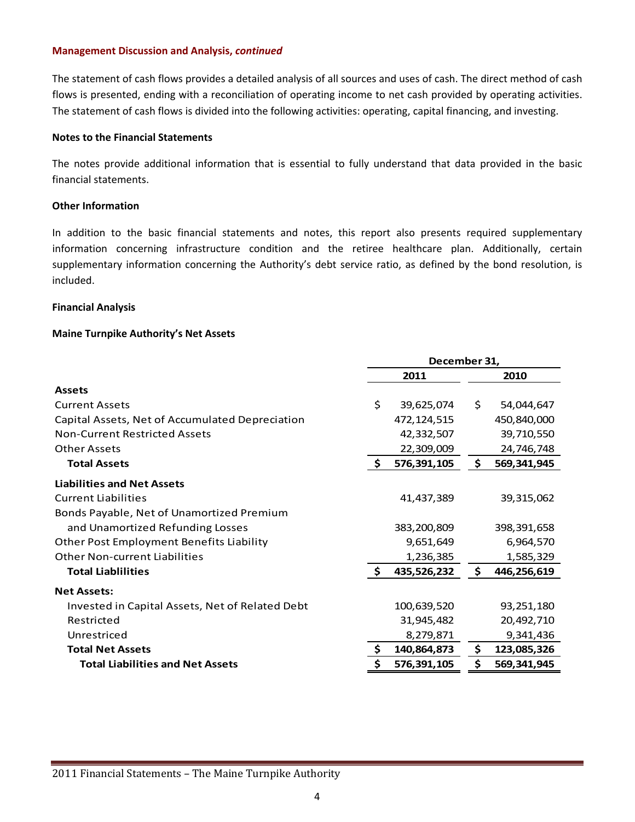The statement of cash flows provides a detailed analysis of all sources and uses of cash. The direct method of cash flows is presented, ending with a reconciliation of operating income to net cash provided by operating activities. The statement of cash flows is divided into the following activities: operating, capital financing, and investing.

#### **Notes to the Financial Statements**

The notes provide additional information that is essential to fully understand that data provided in the basic financial statements.

#### **Other Information**

In addition to the basic financial statements and notes, this report also presents required supplementary information concerning infrastructure condition and the retiree healthcare plan. Additionally, certain supplementary information concerning the Authority's debt service ratio, as defined by the bond resolution, is included.

#### **Financial Analysis**

#### **Maine Turnpike Authority's Net Assets**

|                                                 |      | December 31,  |    |             |
|-------------------------------------------------|------|---------------|----|-------------|
|                                                 | 2011 |               |    | 2010        |
| <b>Assets</b>                                   |      |               |    |             |
| <b>Current Assets</b>                           | \$   | 39,625,074    | \$ | 54,044,647  |
| Capital Assets, Net of Accumulated Depreciation |      | 472, 124, 515 |    | 450,840,000 |
| Non-Current Restricted Assets                   |      | 42,332,507    |    | 39,710,550  |
| Other Assets                                    |      | 22,309,009    |    | 24,746,748  |
| <b>Total Assets</b>                             | \$   | 576,391,105   | \$ | 569,341,945 |
| <b>Liabilities and Net Assets</b>               |      |               |    |             |
| <b>Current Liabilities</b>                      |      | 41,437,389    |    | 39,315,062  |
| Bonds Payable, Net of Unamortized Premium       |      |               |    |             |
| and Unamortized Refunding Losses                |      | 383,200,809   |    | 398,391,658 |
| Other Post Employment Benefits Liability        |      | 9,651,649     |    | 6,964,570   |
| <b>Other Non-current Liabilities</b>            |      | 1,236,385     |    | 1,585,329   |
| <b>Total Liablilities</b>                       | \$   | 435,526,232   | \$ | 446,256,619 |
| <b>Net Assets:</b>                              |      |               |    |             |
| Invested in Capital Assets, Net of Related Debt |      | 100,639,520   |    | 93,251,180  |
| Restricted                                      |      | 31,945,482    |    | 20,492,710  |
| Unrestriced                                     |      | 8,279,871     |    | 9,341,436   |
| <b>Total Net Assets</b>                         | \$   | 140,864,873   | \$ | 123,085,326 |
| <b>Total Liabilities and Net Assets</b>         | \$   | 576,391,105   | \$ | 569,341,945 |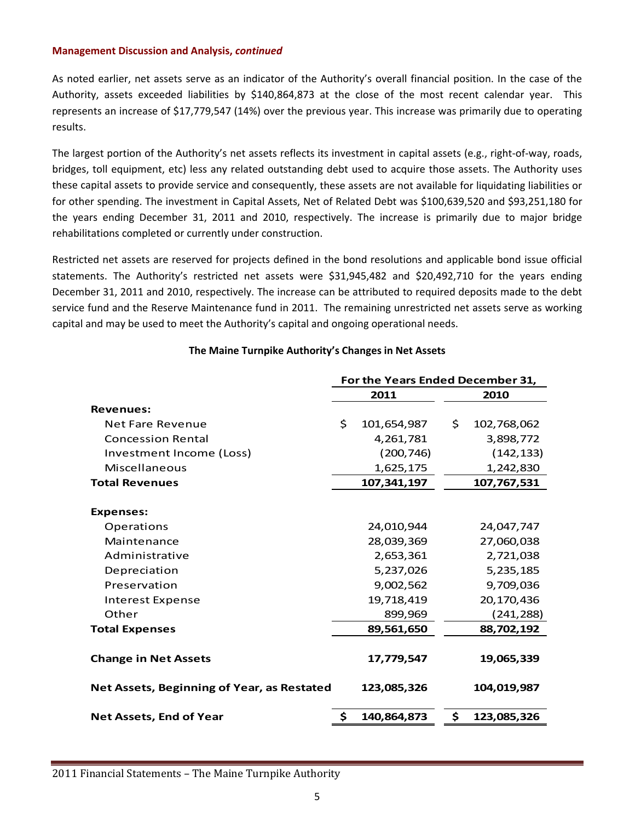As noted earlier, net assets serve as an indicator of the Authority's overall financial position. In the case of the Authority, assets exceeded liabilities by \$140,864,873 at the close of the most recent calendar year. This represents an increase of \$17,779,547 (14%) over the previous year. This increase was primarily due to operating results.

The largest portion of the Authority's net assets reflects its investment in capital assets (e.g., right‐of‐way, roads, bridges, toll equipment, etc) less any related outstanding debt used to acquire those assets. The Authority uses these capital assets to provide service and consequently, these assets are not available for liquidating liabilities or for other spending. The investment in Capital Assets, Net of Related Debt was \$100,639,520 and \$93,251,180 for the years ending December 31, 2011 and 2010, respectively. The increase is primarily due to major bridge rehabilitations completed or currently under construction.

Restricted net assets are reserved for projects defined in the bond resolutions and applicable bond issue official statements. The Authority's restricted net assets were \$31,945,482 and \$20,492,710 for the years ending December 31, 2011 and 2010, respectively. The increase can be attributed to required deposits made to the debt service fund and the Reserve Maintenance fund in 2011. The remaining unrestricted net assets serve as working capital and may be used to meet the Authority's capital and ongoing operational needs.

|                                            | For the Years Ended December 31, |               |             |             |
|--------------------------------------------|----------------------------------|---------------|-------------|-------------|
|                                            |                                  | 2011          |             | 2010        |
| <b>Revenues:</b>                           |                                  |               |             |             |
| Net Fare Revenue                           | Ś.                               | 101,654,987   | \$.         | 102,768,062 |
| <b>Concession Rental</b>                   |                                  | 4,261,781     |             | 3,898,772   |
| Investment Income (Loss)                   |                                  | (200, 746)    |             | (142, 133)  |
| Miscellaneous                              |                                  | 1,625,175     |             | 1,242,830   |
| <b>Total Revenues</b>                      |                                  | 107, 341, 197 |             | 107,767,531 |
| <b>Expenses:</b>                           |                                  |               |             |             |
| Operations                                 |                                  | 24,010,944    |             | 24,047,747  |
| Maintenance                                |                                  | 28,039,369    |             | 27,060,038  |
| Administrative                             |                                  | 2,653,361     |             | 2,721,038   |
| Depreciation                               |                                  | 5,237,026     |             | 5,235,185   |
| Preservation                               |                                  | 9,002,562     |             | 9,709,036   |
| Interest Expense                           |                                  | 19,718,419    |             | 20,170,436  |
| Other                                      |                                  | 899,969       |             | (241,288)   |
| <b>Total Expenses</b>                      |                                  | 89,561,650    |             | 88,702,192  |
| <b>Change in Net Assets</b>                |                                  | 17,779,547    |             | 19,065,339  |
| Net Assets, Beginning of Year, as Restated |                                  | 123,085,326   |             | 104,019,987 |
| <b>Net Assets, End of Year</b>             | \$.<br>\$<br>140,864,873         |               | 123,085,326 |             |

#### **The Maine Turnpike Authority's Changes in Net Assets**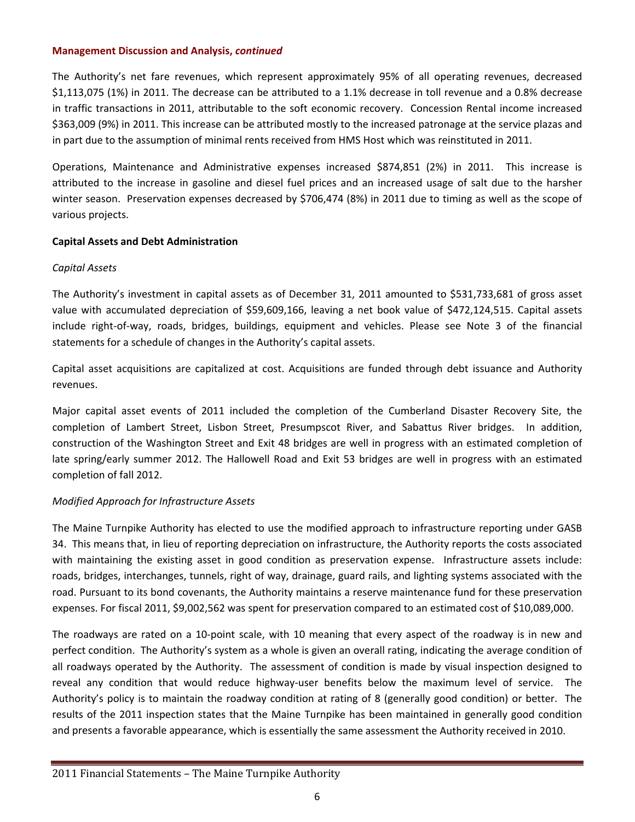The Authority's net fare revenues, which represent approximately 95% of all operating revenues, decreased \$1,113,075 (1%) in 2011. The decrease can be attributed to a 1.1% decrease in toll revenue and a 0.8% decrease in traffic transactions in 2011, attributable to the soft economic recovery. Concession Rental income increased \$363,009 (9%) in 2011. This increase can be attributed mostly to the increased patronage at the service plazas and in part due to the assumption of minimal rents received from HMS Host which was reinstituted in 2011.

Operations, Maintenance and Administrative expenses increased \$874,851 (2%) in 2011. This increase is attributed to the increase in gasoline and diesel fuel prices and an increased usage of salt due to the harsher winter season. Preservation expenses decreased by \$706,474 (8%) in 2011 due to timing as well as the scope of various projects.

#### **Capital Assets and Debt Administration**

#### *Capital Assets*

The Authority's investment in capital assets as of December 31, 2011 amounted to \$531,733,681 of gross asset value with accumulated depreciation of \$59,609,166, leaving a net book value of \$472,124,515. Capital assets include right‐of‐way, roads, bridges, buildings, equipment and vehicles. Please see Note 3 of the financial statements for a schedule of changes in the Authority's capital assets.

Capital asset acquisitions are capitalized at cost. Acquisitions are funded through debt issuance and Authority revenues.

Major capital asset events of 2011 included the completion of the Cumberland Disaster Recovery Site, the completion of Lambert Street, Lisbon Street, Presumpscot River, and Sabattus River bridges. In addition, construction of the Washington Street and Exit 48 bridges are well in progress with an estimated completion of late spring/early summer 2012. The Hallowell Road and Exit 53 bridges are well in progress with an estimated completion of fall 2012.

#### *Modified Approach for Infrastructure Assets*

The Maine Turnpike Authority has elected to use the modified approach to infrastructure reporting under GASB 34. This means that, in lieu of reporting depreciation on infrastructure, the Authority reports the costs associated with maintaining the existing asset in good condition as preservation expense. Infrastructure assets include: roads, bridges, interchanges, tunnels, right of way, drainage, guard rails, and lighting systems associated with the road. Pursuant to its bond covenants, the Authority maintains a reserve maintenance fund for these preservation expenses. For fiscal 2011, \$9,002,562 was spent for preservation compared to an estimated cost of \$10,089,000.

The roadways are rated on a 10‐point scale, with 10 meaning that every aspect of the roadway is in new and perfect condition. The Authority's system as a whole is given an overall rating, indicating the average condition of all roadways operated by the Authority. The assessment of condition is made by visual inspection designed to reveal any condition that would reduce highway-user benefits below the maximum level of service. The Authority's policy is to maintain the roadway condition at rating of 8 (generally good condition) or better. The results of the 2011 inspection states that the Maine Turnpike has been maintained in generally good condition and presents a favorable appearance, which is essentially the same assessment the Authority received in 2010.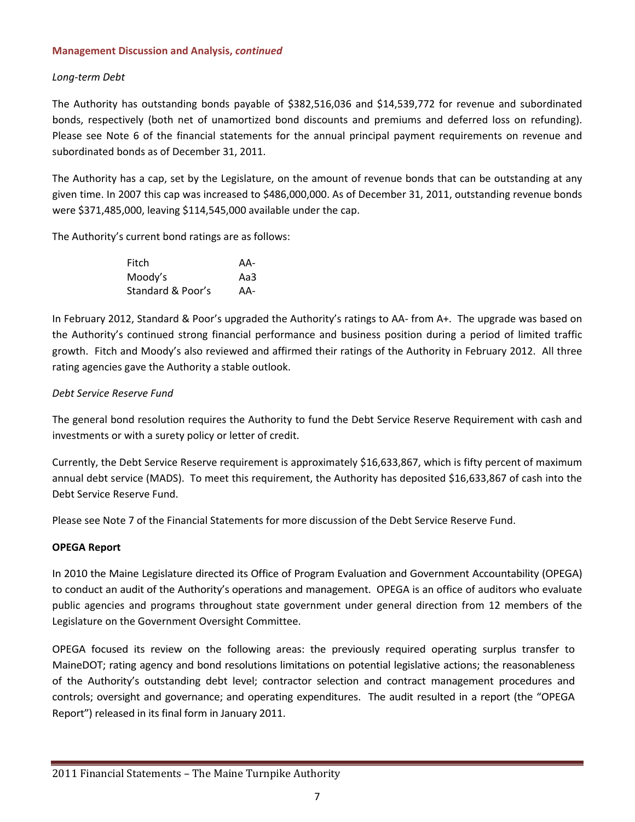#### *Long‐term Debt*

The Authority has outstanding bonds payable of \$382,516,036 and \$14,539,772 for revenue and subordinated bonds, respectively (both net of unamortized bond discounts and premiums and deferred loss on refunding). Please see Note 6 of the financial statements for the annual principal payment requirements on revenue and subordinated bonds as of December 31, 2011.

The Authority has a cap, set by the Legislature, on the amount of revenue bonds that can be outstanding at any given time. In 2007 this cap was increased to \$486,000,000. As of December 31, 2011, outstanding revenue bonds were \$371,485,000, leaving \$114,545,000 available under the cap.

The Authority's current bond ratings are as follows:

| Fitch   |                   | AA- |
|---------|-------------------|-----|
| Moody's |                   | Aa3 |
|         | Standard & Poor's | AA- |

In February 2012, Standard & Poor's upgraded the Authority's ratings to AA‐ from A+. The upgrade was based on the Authority's continued strong financial performance and business position during a period of limited traffic growth. Fitch and Moody's also reviewed and affirmed their ratings of the Authority in February 2012. All three rating agencies gave the Authority a stable outlook.

#### *Debt Service Reserve Fund*

The general bond resolution requires the Authority to fund the Debt Service Reserve Requirement with cash and investments or with a surety policy or letter of credit.

Currently, the Debt Service Reserve requirement is approximately \$16,633,867, which is fifty percent of maximum annual debt service (MADS). To meet this requirement, the Authority has deposited \$16,633,867 of cash into the Debt Service Reserve Fund.

Please see Note 7 of the Financial Statements for more discussion of the Debt Service Reserve Fund.

#### **OPEGA Report**

In 2010 the Maine Legislature directed its Office of Program Evaluation and Government Accountability (OPEGA) to conduct an audit of the Authority's operations and management. OPEGA is an office of auditors who evaluate public agencies and programs throughout state government under general direction from 12 members of the Legislature on the Government Oversight Committee.

OPEGA focused its review on the following areas: the previously required operating surplus transfer to MaineDOT; rating agency and bond resolutions limitations on potential legislative actions; the reasonableness of the Authority's outstanding debt level; contractor selection and contract management procedures and controls; oversight and governance; and operating expenditures. The audit resulted in a report (the "OPEGA Report") released in its final form in January 2011.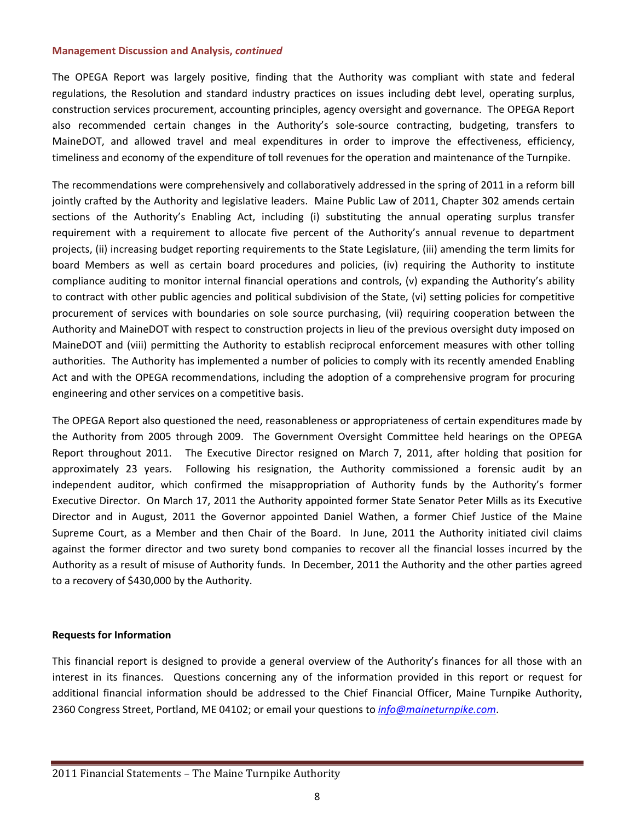The OPEGA Report was largely positive, finding that the Authority was compliant with state and federal regulations, the Resolution and standard industry practices on issues including debt level, operating surplus, construction services procurement, accounting principles, agency oversight and governance. The OPEGA Report also recommended certain changes in the Authority's sole‐source contracting, budgeting, transfers to MaineDOT, and allowed travel and meal expenditures in order to improve the effectiveness, efficiency, timeliness and economy of the expenditure of toll revenues for the operation and maintenance of the Turnpike.

The recommendations were comprehensively and collaboratively addressed in the spring of 2011 in a reform bill jointly crafted by the Authority and legislative leaders. Maine Public Law of 2011, Chapter 302 amends certain sections of the Authority's Enabling Act, including (i) substituting the annual operating surplus transfer requirement with a requirement to allocate five percent of the Authority's annual revenue to department projects, (ii) increasing budget reporting requirements to the State Legislature, (iii) amending the term limits for board Members as well as certain board procedures and policies, (iv) requiring the Authority to institute compliance auditing to monitor internal financial operations and controls, (v) expanding the Authority's ability to contract with other public agencies and political subdivision of the State, (vi) setting policies for competitive procurement of services with boundaries on sole source purchasing, (vii) requiring cooperation between the Authority and MaineDOT with respect to construction projects in lieu of the previous oversight duty imposed on MaineDOT and (viii) permitting the Authority to establish reciprocal enforcement measures with other tolling authorities. The Authority has implemented a number of policies to comply with its recently amended Enabling Act and with the OPEGA recommendations, including the adoption of a comprehensive program for procuring engineering and other services on a competitive basis.

The OPEGA Report also questioned the need, reasonableness or appropriateness of certain expenditures made by the Authority from 2005 through 2009. The Government Oversight Committee held hearings on the OPEGA Report throughout 2011. The Executive Director resigned on March 7, 2011, after holding that position for approximately 23 years. Following his resignation, the Authority commissioned a forensic audit by an independent auditor, which confirmed the misappropriation of Authority funds by the Authority's former Executive Director. On March 17, 2011 the Authority appointed former State Senator Peter Mills as its Executive Director and in August, 2011 the Governor appointed Daniel Wathen, a former Chief Justice of the Maine Supreme Court, as a Member and then Chair of the Board. In June, 2011 the Authority initiated civil claims against the former director and two surety bond companies to recover all the financial losses incurred by the Authority as a result of misuse of Authority funds. In December, 2011 the Authority and the other parties agreed to a recovery of \$430,000 by the Authority.

#### **Requests for Information**

This financial report is designed to provide a general overview of the Authority's finances for all those with an interest in its finances. Questions concerning any of the information provided in this report or request for additional financial information should be addressed to the Chief Financial Officer, Maine Turnpike Authority, 2360 Congress Street, Portland, ME 04102; or email your questions to *info@maineturnpike.com*.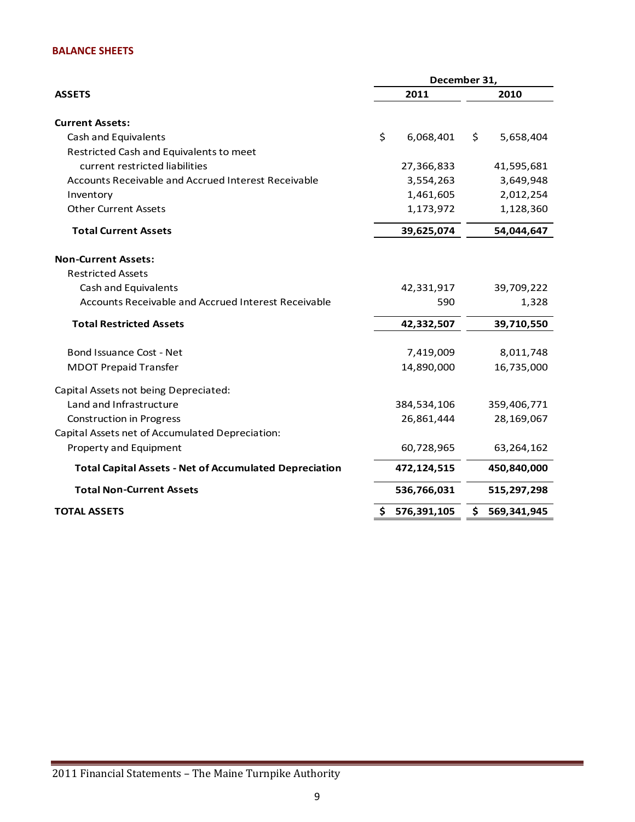#### **BALANCE SHEETS**

|                                                                  | December 31,              |                           |  |  |  |
|------------------------------------------------------------------|---------------------------|---------------------------|--|--|--|
| <b>ASSETS</b>                                                    | 2011                      | 2010                      |  |  |  |
| <b>Current Assets:</b>                                           |                           |                           |  |  |  |
| Cash and Equivalents                                             | \$<br>6,068,401           | \$<br>5,658,404           |  |  |  |
| Restricted Cash and Equivalents to meet                          |                           |                           |  |  |  |
| current restricted liabilities                                   | 27,366,833                | 41,595,681                |  |  |  |
| Accounts Receivable and Accrued Interest Receivable              | 3,554,263                 | 3,649,948                 |  |  |  |
| Inventory                                                        | 1,461,605                 | 2,012,254                 |  |  |  |
| <b>Other Current Assets</b>                                      | 1,173,972                 | 1,128,360                 |  |  |  |
| <b>Total Current Assets</b>                                      | 39,625,074                | 54,044,647                |  |  |  |
| <b>Non-Current Assets:</b>                                       |                           |                           |  |  |  |
| <b>Restricted Assets</b>                                         |                           |                           |  |  |  |
| Cash and Equivalents                                             | 42,331,917                | 39,709,222                |  |  |  |
| Accounts Receivable and Accrued Interest Receivable              |                           | 590<br>1,328              |  |  |  |
| <b>Total Restricted Assets</b>                                   | 42,332,507<br>39,710,550  |                           |  |  |  |
| Bond Issuance Cost - Net                                         | 7,419,009                 | 8,011,748                 |  |  |  |
| <b>MDOT Prepaid Transfer</b>                                     | 14,890,000                | 16,735,000                |  |  |  |
|                                                                  |                           |                           |  |  |  |
| Capital Assets not being Depreciated:<br>Land and Infrastructure |                           |                           |  |  |  |
|                                                                  | 384,534,106<br>26,861,444 | 359,406,771<br>28,169,067 |  |  |  |
| <b>Construction in Progress</b>                                  |                           |                           |  |  |  |
| Capital Assets net of Accumulated Depreciation:                  |                           |                           |  |  |  |
| Property and Equipment                                           | 60,728,965                | 63,264,162                |  |  |  |
| <b>Total Capital Assets - Net of Accumulated Depreciation</b>    | 472,124,515               | 450,840,000               |  |  |  |
| <b>Total Non-Current Assets</b>                                  | 536,766,031               | 515,297,298               |  |  |  |
| <b>TOTAL ASSETS</b><br>576,391,105<br>\$                         |                           | 569,341,945<br>\$.        |  |  |  |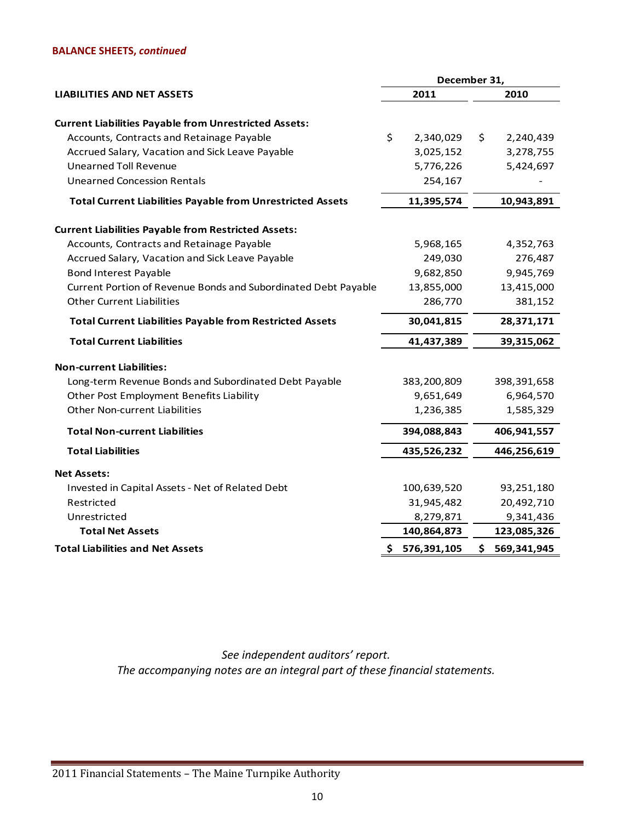#### **BALANCE SHEETS,** *continued*

|                                                                   |                          | December 31,    |  |
|-------------------------------------------------------------------|--------------------------|-----------------|--|
| <b>LIABILITIES AND NET ASSETS</b>                                 | 2011                     | 2010            |  |
| <b>Current Liabilities Payable from Unrestricted Assets:</b>      |                          |                 |  |
| Accounts, Contracts and Retainage Payable                         | \$<br>2,340,029          | \$<br>2,240,439 |  |
| Accrued Salary, Vacation and Sick Leave Payable                   | 3,025,152                | 3,278,755       |  |
| <b>Unearned Toll Revenue</b>                                      | 5,776,226                | 5,424,697       |  |
| <b>Unearned Concession Rentals</b>                                | 254,167                  |                 |  |
| <b>Total Current Liabilities Payable from Unrestricted Assets</b> | 11,395,574<br>10,943,891 |                 |  |
| <b>Current Liabilities Payable from Restricted Assets:</b>        |                          |                 |  |
| Accounts, Contracts and Retainage Payable                         | 5,968,165                | 4,352,763       |  |
| Accrued Salary, Vacation and Sick Leave Payable                   | 249,030                  | 276,487         |  |
| <b>Bond Interest Payable</b>                                      | 9,682,850                | 9,945,769       |  |
| Current Portion of Revenue Bonds and Subordinated Debt Payable    | 13,855,000               | 13,415,000      |  |
| <b>Other Current Liabilities</b>                                  | 286,770                  | 381,152         |  |
| <b>Total Current Liabilities Payable from Restricted Assets</b>   | 30,041,815               | 28,371,171      |  |
| <b>Total Current Liabilities</b>                                  | 41,437,389               | 39,315,062      |  |
| <b>Non-current Liabilities:</b>                                   |                          |                 |  |
| Long-term Revenue Bonds and Subordinated Debt Payable             | 383,200,809              | 398,391,658     |  |
| Other Post Employment Benefits Liability                          | 9,651,649                | 6,964,570       |  |
| <b>Other Non-current Liabilities</b>                              | 1,236,385                | 1,585,329       |  |
| <b>Total Non-current Liabilities</b>                              | 394,088,843              | 406,941,557     |  |
| <b>Total Liabilities</b>                                          | 435,526,232              | 446,256,619     |  |
| <b>Net Assets:</b>                                                |                          |                 |  |
| Invested in Capital Assets - Net of Related Debt                  | 100,639,520              | 93,251,180      |  |
| Restricted                                                        | 31,945,482               | 20,492,710      |  |
| Unrestricted                                                      | 8,279,871                | 9,341,436       |  |
| <b>Total Net Assets</b>                                           | 140,864,873              | 123,085,326     |  |
| <b>Total Liabilities and Net Assets</b>                           | \$576,391,105            | \$569,341,945   |  |

*See independent auditors' report. The accompanying notes are an integral part of these financial statements.*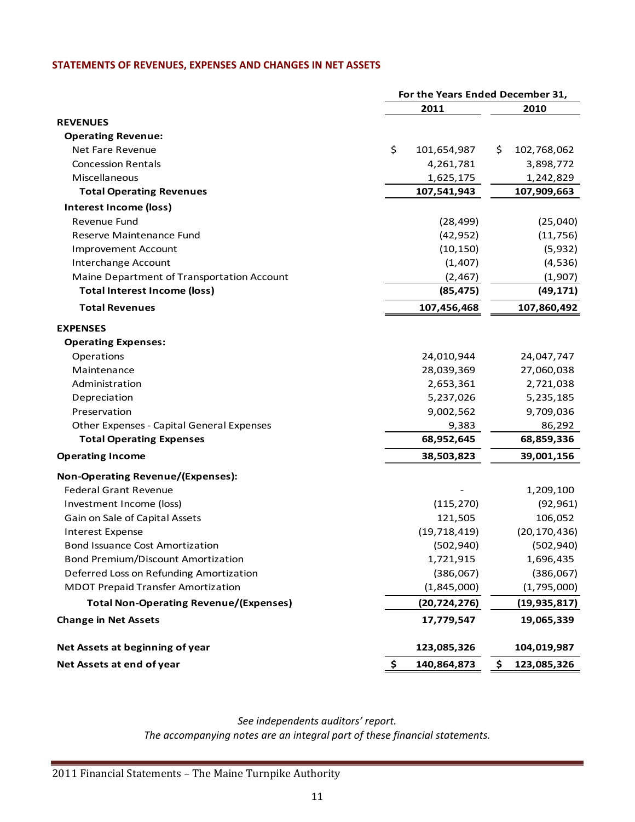#### **STATEMENTS OF REVENUES, EXPENSES AND CHANGES IN NET ASSETS**

|                                               | For the Years Ended December 31, |                   |
|-----------------------------------------------|----------------------------------|-------------------|
|                                               | 2011                             | 2010              |
| <b>REVENUES</b>                               |                                  |                   |
| <b>Operating Revenue:</b>                     |                                  |                   |
| Net Fare Revenue                              | \$<br>101,654,987                | \$<br>102,768,062 |
| <b>Concession Rentals</b>                     | 4,261,781                        | 3,898,772         |
| Miscellaneous                                 | 1,625,175                        | 1,242,829         |
| <b>Total Operating Revenues</b>               | 107,541,943                      | 107,909,663       |
| Interest Income (loss)                        |                                  |                   |
| Revenue Fund                                  | (28, 499)                        | (25,040)          |
| Reserve Maintenance Fund                      | (42, 952)                        | (11, 756)         |
| <b>Improvement Account</b>                    | (10, 150)                        | (5,932)           |
| Interchange Account                           | (1, 407)                         | (4, 536)          |
| Maine Department of Transportation Account    | (2, 467)                         | (1,907)           |
| <b>Total Interest Income (loss)</b>           | (85, 475)                        | (49, 171)         |
| <b>Total Revenues</b>                         | 107,456,468                      | 107,860,492       |
| <b>EXPENSES</b>                               |                                  |                   |
| <b>Operating Expenses:</b>                    |                                  |                   |
| Operations                                    | 24,010,944                       | 24,047,747        |
| Maintenance                                   | 28,039,369                       | 27,060,038        |
| Administration                                | 2,653,361                        | 2,721,038         |
| Depreciation                                  | 5,237,026                        | 5,235,185         |
| Preservation                                  | 9,002,562                        | 9,709,036         |
| Other Expenses - Capital General Expenses     | 9,383                            | 86,292            |
| <b>Total Operating Expenses</b>               | 68,952,645                       | 68,859,336        |
| <b>Operating Income</b>                       | 38,503,823                       | 39,001,156        |
| <b>Non-Operating Revenue/(Expenses):</b>      |                                  |                   |
| <b>Federal Grant Revenue</b>                  |                                  | 1,209,100         |
| Investment Income (loss)                      | (115, 270)                       | (92, 961)         |
| Gain on Sale of Capital Assets                | 121,505                          | 106,052           |
| <b>Interest Expense</b>                       | (19, 718, 419)                   | (20, 170, 436)    |
| <b>Bond Issuance Cost Amortization</b>        | (502, 940)                       | (502, 940)        |
| <b>Bond Premium/Discount Amortization</b>     | 1,721,915                        | 1,696,435         |
| Deferred Loss on Refunding Amortization       | (386,067)                        | (386,067)         |
| <b>MDOT Prepaid Transfer Amortization</b>     | (1,845,000)                      | (1,795,000)       |
| <b>Total Non-Operating Revenue/(Expenses)</b> | (20, 724, 276)                   | (19, 935, 817)    |
| <b>Change in Net Assets</b>                   | 17,779,547                       | 19,065,339        |
| Net Assets at beginning of year               | 123,085,326                      | 104,019,987       |
| Net Assets at end of year                     | \$<br>140,864,873                | \$<br>123,085,326 |

*See independents auditors' report. The accompanying notes are an integral part of these financial statements.*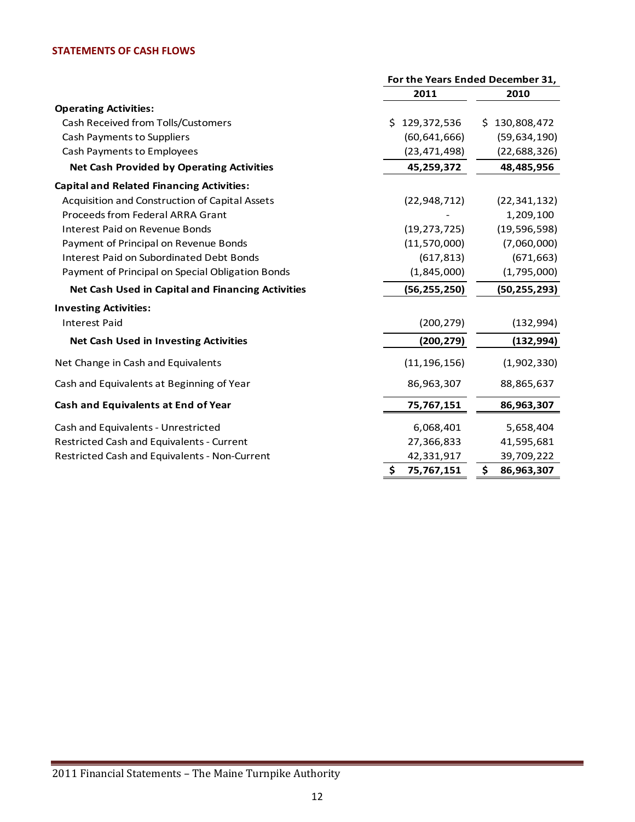#### **STATEMENTS OF CASH FLOWS**

|                                                   |                   | For the Years Ended December 31, |  |  |
|---------------------------------------------------|-------------------|----------------------------------|--|--|
|                                                   | 2011              | 2010                             |  |  |
| <b>Operating Activities:</b>                      |                   |                                  |  |  |
| Cash Received from Tolls/Customers                | 129,372,536<br>Ś. | \$130,808,472                    |  |  |
| Cash Payments to Suppliers                        | (60, 641, 666)    | (59, 634, 190)                   |  |  |
| Cash Payments to Employees                        | (23, 471, 498)    | (22, 688, 326)                   |  |  |
| <b>Net Cash Provided by Operating Activities</b>  | 45,259,372        | 48,485,956                       |  |  |
| <b>Capital and Related Financing Activities:</b>  |                   |                                  |  |  |
| Acquisition and Construction of Capital Assets    | (22, 948, 712)    | (22, 341, 132)                   |  |  |
| Proceeds from Federal ARRA Grant                  |                   | 1,209,100                        |  |  |
| <b>Interest Paid on Revenue Bonds</b>             | (19, 273, 725)    | (19, 596, 598)                   |  |  |
| Payment of Principal on Revenue Bonds             | (11, 570, 000)    | (7,060,000)                      |  |  |
| Interest Paid on Subordinated Debt Bonds          | (617, 813)        | (671, 663)                       |  |  |
| Payment of Principal on Special Obligation Bonds  | (1,845,000)       | (1,795,000)                      |  |  |
| Net Cash Used in Capital and Financing Activities | (56, 255, 250)    | (50, 255, 293)                   |  |  |
| <b>Investing Activities:</b>                      |                   |                                  |  |  |
| <b>Interest Paid</b>                              | (200, 279)        | (132, 994)                       |  |  |
| <b>Net Cash Used in Investing Activities</b>      | (200, 279)        | (132, 994)                       |  |  |
| Net Change in Cash and Equivalents                | (11, 196, 156)    | (1,902,330)                      |  |  |
| Cash and Equivalents at Beginning of Year         | 86,963,307        | 88,865,637                       |  |  |
| Cash and Equivalents at End of Year               | 75,767,151        | 86,963,307                       |  |  |
| Cash and Equivalents - Unrestricted               | 6,068,401         | 5,658,404                        |  |  |
| Restricted Cash and Equivalents - Current         | 27,366,833        | 41,595,681                       |  |  |
| Restricted Cash and Equivalents - Non-Current     | 42,331,917        | 39,709,222                       |  |  |
|                                                   | \$<br>75,767,151  | \$<br>86,963,307                 |  |  |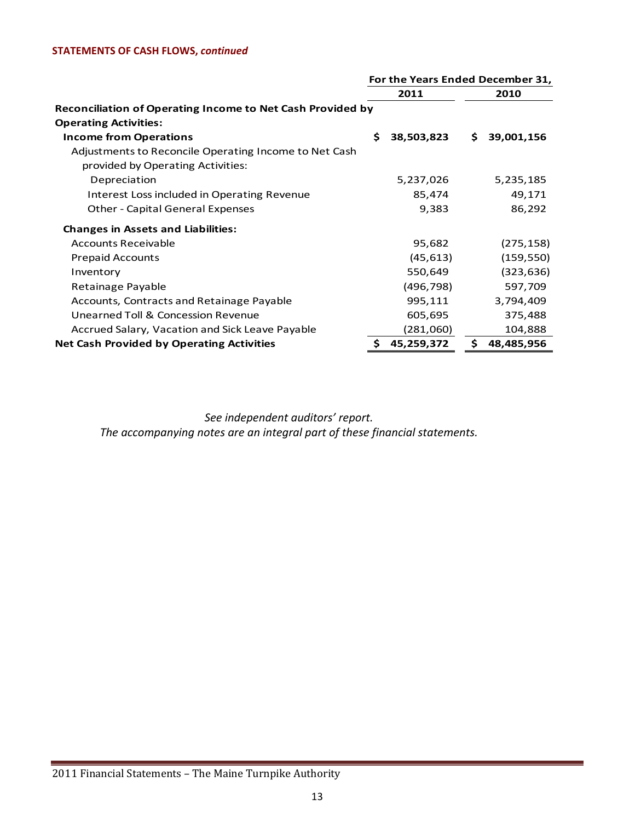#### **STATEMENTS OF CASH FLOWS,** *continued*

|                                                            |      | For the Years Ended December 31, |    |            |
|------------------------------------------------------------|------|----------------------------------|----|------------|
|                                                            | 2011 |                                  |    | 2010       |
| Reconciliation of Operating Income to Net Cash Provided by |      |                                  |    |            |
| <b>Operating Activities:</b>                               |      |                                  |    |            |
| <b>Income from Operations</b>                              | Ś.   | 38,503,823                       | S. | 39,001,156 |
| Adjustments to Reconcile Operating Income to Net Cash      |      |                                  |    |            |
| provided by Operating Activities:                          |      |                                  |    |            |
| Depreciation                                               |      | 5,237,026                        |    | 5,235,185  |
| Interest Loss included in Operating Revenue                |      | 85,474                           |    | 49,171     |
| <b>Other - Capital General Expenses</b>                    |      | 9,383                            |    | 86,292     |
| <b>Changes in Assets and Liabilities:</b>                  |      |                                  |    |            |
| <b>Accounts Receivable</b>                                 |      | 95,682                           |    | (275, 158) |
| <b>Prepaid Accounts</b>                                    |      | (45, 613)                        |    | (159, 550) |
| Inventory                                                  |      | 550,649                          |    | (323, 636) |
| Retainage Payable                                          |      | (496, 798)                       |    | 597,709    |
| Accounts, Contracts and Retainage Payable                  |      | 995,111                          |    | 3,794,409  |
| Unearned Toll & Concession Revenue                         |      | 605,695                          |    | 375,488    |
| Accrued Salary, Vacation and Sick Leave Payable            |      | (281,060)                        |    | 104,888    |
| <b>Net Cash Provided by Operating Activities</b>           | \$   | 45,259,372                       | \$ | 48,485,956 |

*See independent auditors' report.*

*The accompanying notes are an integral part of these financial statements.*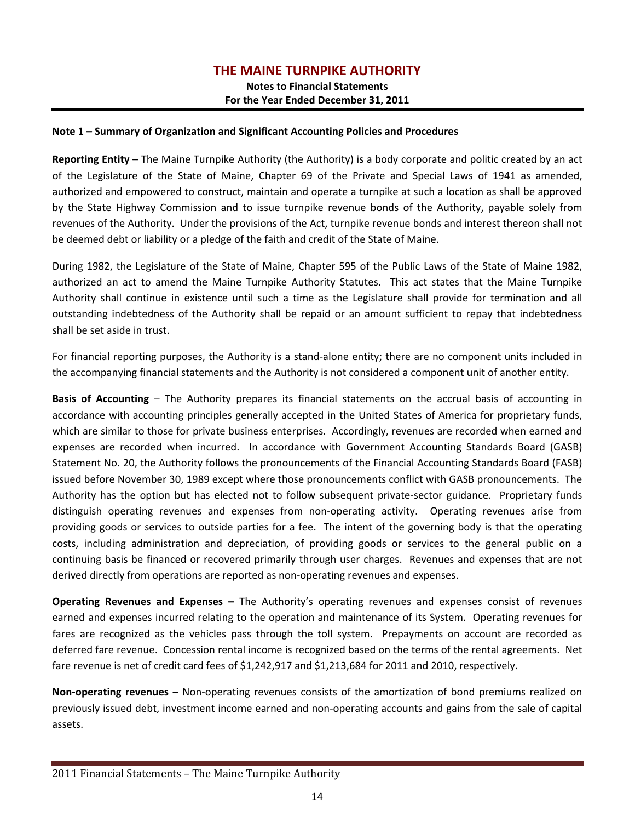#### **Note 1 – Summary of Organization and Significant Accounting Policies and Procedures**

**Reporting Entity –** The Maine Turnpike Authority (the Authority) is a body corporate and politic created by an act of the Legislature of the State of Maine, Chapter 69 of the Private and Special Laws of 1941 as amended, authorized and empowered to construct, maintain and operate a turnpike at such a location as shall be approved by the State Highway Commission and to issue turnpike revenue bonds of the Authority, payable solely from revenues of the Authority. Under the provisions of the Act, turnpike revenue bonds and interest thereon shall not be deemed debt or liability or a pledge of the faith and credit of the State of Maine.

During 1982, the Legislature of the State of Maine, Chapter 595 of the Public Laws of the State of Maine 1982, authorized an act to amend the Maine Turnpike Authority Statutes. This act states that the Maine Turnpike Authority shall continue in existence until such a time as the Legislature shall provide for termination and all outstanding indebtedness of the Authority shall be repaid or an amount sufficient to repay that indebtedness shall be set aside in trust.

For financial reporting purposes, the Authority is a stand-alone entity; there are no component units included in the accompanying financial statements and the Authority is not considered a component unit of another entity.

**Basis of Accounting** – The Authority prepares its financial statements on the accrual basis of accounting in accordance with accounting principles generally accepted in the United States of America for proprietary funds, which are similar to those for private business enterprises. Accordingly, revenues are recorded when earned and expenses are recorded when incurred. In accordance with Government Accounting Standards Board (GASB) Statement No. 20, the Authority follows the pronouncements of the Financial Accounting Standards Board (FASB) issued before November 30, 1989 except where those pronouncements conflict with GASB pronouncements. The Authority has the option but has elected not to follow subsequent private-sector guidance. Proprietary funds distinguish operating revenues and expenses from non-operating activity. Operating revenues arise from providing goods or services to outside parties for a fee. The intent of the governing body is that the operating costs, including administration and depreciation, of providing goods or services to the general public on a continuing basis be financed or recovered primarily through user charges. Revenues and expenses that are not derived directly from operations are reported as non‐operating revenues and expenses.

**Operating Revenues and Expenses –** The Authority's operating revenues and expenses consist of revenues earned and expenses incurred relating to the operation and maintenance of its System. Operating revenues for fares are recognized as the vehicles pass through the toll system. Prepayments on account are recorded as deferred fare revenue. Concession rental income is recognized based on the terms of the rental agreements. Net fare revenue is net of credit card fees of \$1,242,917 and \$1,213,684 for 2011 and 2010, respectively.

**Non‐operating revenues** – Non‐operating revenues consists of the amortization of bond premiums realized on previously issued debt, investment income earned and non‐operating accounts and gains from the sale of capital assets.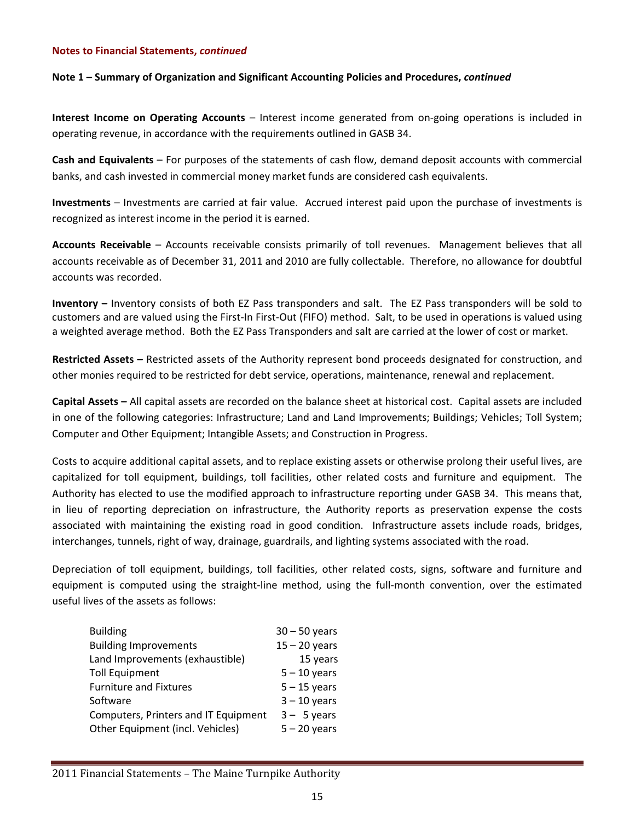#### **Note 1 – Summary of Organization and Significant Accounting Policies and Procedures,** *continued*

**Interest Income on Operating Accounts** – Interest income generated from on‐going operations is included in operating revenue, in accordance with the requirements outlined in GASB 34.

**Cash and Equivalents** – For purposes of the statements of cash flow, demand deposit accounts with commercial banks, and cash invested in commercial money market funds are considered cash equivalents.

**Investments** – Investments are carried at fair value. Accrued interest paid upon the purchase of investments is recognized as interest income in the period it is earned.

**Accounts Receivable** – Accounts receivable consists primarily of toll revenues. Management believes that all accounts receivable as of December 31, 2011 and 2010 are fully collectable. Therefore, no allowance for doubtful accounts was recorded.

**Inventory –** Inventory consists of both EZ Pass transponders and salt. The EZ Pass transponders will be sold to customers and are valued using the First-In First-Out (FIFO) method. Salt, to be used in operations is valued using a weighted average method. Both the EZ Pass Transponders and salt are carried at the lower of cost or market.

**Restricted Assets –** Restricted assets of the Authority represent bond proceeds designated for construction, and other monies required to be restricted for debt service, operations, maintenance, renewal and replacement.

**Capital Assets –** All capital assets are recorded on the balance sheet at historical cost. Capital assets are included in one of the following categories: Infrastructure; Land and Land Improvements; Buildings; Vehicles; Toll System; Computer and Other Equipment; Intangible Assets; and Construction in Progress.

Costs to acquire additional capital assets, and to replace existing assets or otherwise prolong their useful lives, are capitalized for toll equipment, buildings, toll facilities, other related costs and furniture and equipment. The Authority has elected to use the modified approach to infrastructure reporting under GASB 34. This means that, in lieu of reporting depreciation on infrastructure, the Authority reports as preservation expense the costs associated with maintaining the existing road in good condition. Infrastructure assets include roads, bridges, interchanges, tunnels, right of way, drainage, guardrails, and lighting systems associated with the road.

Depreciation of toll equipment, buildings, toll facilities, other related costs, signs, software and furniture and equipment is computed using the straight-line method, using the full-month convention, over the estimated useful lives of the assets as follows:

| $30 - 50$ years |
|-----------------|
| $15 - 20$ years |
| 15 years        |
| $5 - 10$ years  |
| $5 - 15$ years  |
| $3 - 10$ years  |
| $3 - 5$ years   |
| $5 - 20$ years  |
|                 |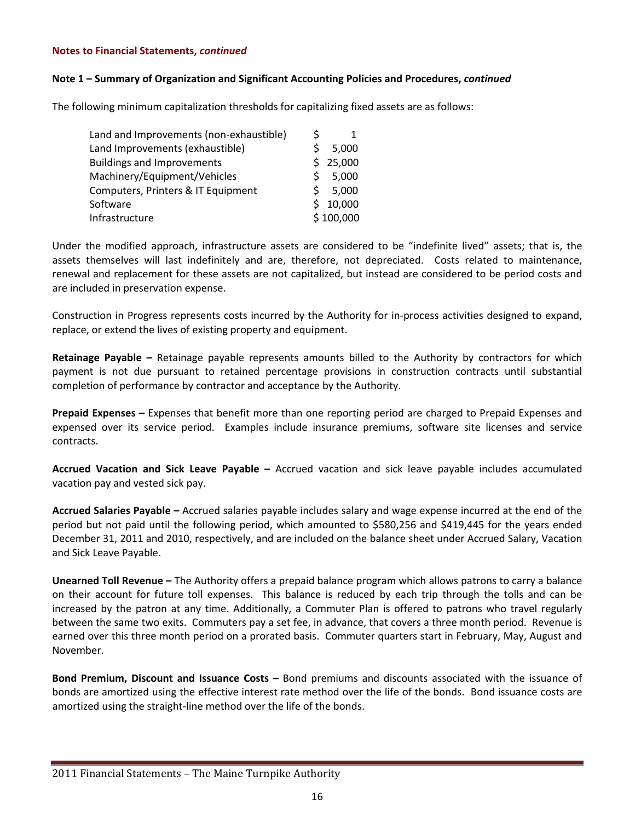#### **Note 1 – Summary of Organization and Significant Accounting Policies and Procedures,** *continued*

The following minimum capitalization thresholds for capitalizing fixed assets are as follows:

| Land and Improvements (non-exhaustible) |    |           |
|-----------------------------------------|----|-----------|
| Land Improvements (exhaustible)         | Š. | 5,000     |
| <b>Buildings and Improvements</b>       |    | \$25,000  |
| Machinery/Equipment/Vehicles            | S. | 5,000     |
| Computers, Printers & IT Equipment      | S  | 5,000     |
| Software                                |    | \$10,000  |
| Infrastructure                          |    | \$100,000 |

Under the modified approach, infrastructure assets are considered to be "indefinite lived" assets; that is, the assets themselves will last indefinitely and are, therefore, not depreciated. Costs related to maintenance, renewal and replacement for these assets are not capitalized, but instead are considered to be period costs and are included in preservation expense.

Construction in Progress represents costs incurred by the Authority for in‐process activities designed to expand, replace, or extend the lives of existing property and equipment.

**Retainage Payable –** Retainage payable represents amounts billed to the Authority by contractors for which payment is not due pursuant to retained percentage provisions in construction contracts until substantial completion of performance by contractor and acceptance by the Authority.

**Prepaid Expenses –** Expenses that benefit more than one reporting period are charged to Prepaid Expenses and expensed over its service period. Examples include insurance premiums, software site licenses and service contracts.

**Accrued Vacation and Sick Leave Payable –** Accrued vacation and sick leave payable includes accumulated vacation pay and vested sick pay.

**Accrued Salaries Payable –** Accrued salaries payable includes salary and wage expense incurred at the end of the period but not paid until the following period, which amounted to \$580,256 and \$419,445 for the years ended December 31, 2011 and 2010, respectively, and are included on the balance sheet under Accrued Salary, Vacation and Sick Leave Payable.

**Unearned Toll Revenue –** The Authority offers a prepaid balance program which allows patrons to carry a balance on their account for future toll expenses. This balance is reduced by each trip through the tolls and can be increased by the patron at any time. Additionally, a Commuter Plan is offered to patrons who travel regularly between the same two exits. Commuters pay a set fee, in advance, that covers a three month period. Revenue is earned over this three month period on a prorated basis. Commuter quarters start in February, May, August and November.

**Bond Premium, Discount and Issuance Costs –** Bond premiums and discounts associated with the issuance of bonds are amortized using the effective interest rate method over the life of the bonds. Bond issuance costs are amortized using the straight‐line method over the life of the bonds.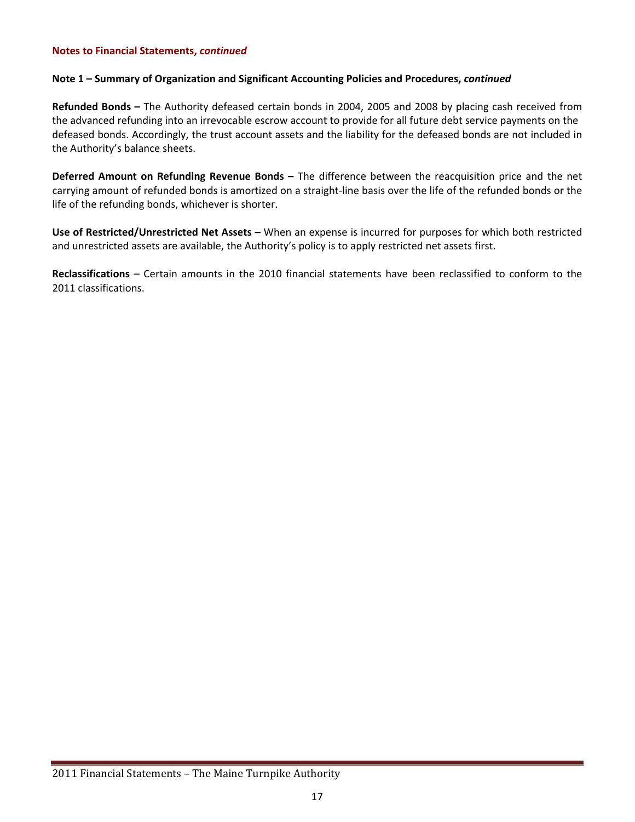#### **Note 1 – Summary of Organization and Significant Accounting Policies and Procedures,** *continued*

**Refunded Bonds –** The Authority defeased certain bonds in 2004, 2005 and 2008 by placing cash received from the advanced refunding into an irrevocable escrow account to provide for all future debt service payments on the defeased bonds. Accordingly, the trust account assets and the liability for the defeased bonds are not included in the Authority's balance sheets.

**Deferred Amount on Refunding Revenue Bonds –** The difference between the reacquisition price and the net carrying amount of refunded bonds is amortized on a straight‐line basis over the life of the refunded bonds or the life of the refunding bonds, whichever is shorter.

**Use of Restricted/Unrestricted Net Assets –** When an expense is incurred for purposes for which both restricted and unrestricted assets are available, the Authority's policy is to apply restricted net assets first.

**Reclassifications** – Certain amounts in the 2010 financial statements have been reclassified to conform to the 2011 classifications.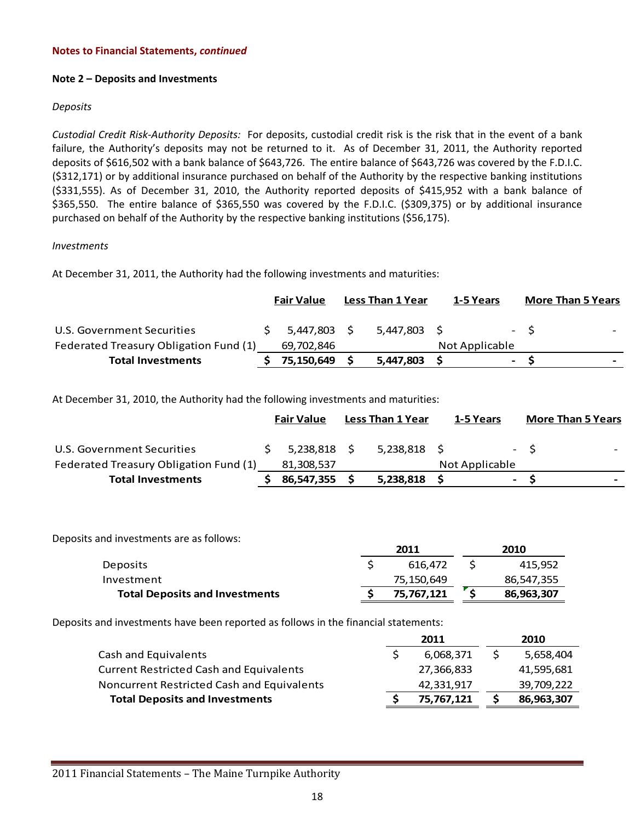#### **Note 2 – Deposits and Investments**

#### *Deposits*

*Custodial Credit Risk‐Authority Deposits:* For deposits, custodial credit risk is the risk that in the event of a bank failure, the Authority's deposits may not be returned to it. As of December 31, 2011, the Authority reported deposits of \$616,502 with a bank balance of \$643,726. The entire balance of \$643,726 was covered by the F.D.I.C. (\$312,171) or by additional insurance purchased on behalf of the Authority by the respective banking institutions (\$331,555). As of December 31, 2010, the Authority reported deposits of \$415,952 with a bank balance of \$365,550. The entire balance of \$365,550 was covered by the F.D.I.C. (\$309,375) or by additional insurance purchased on behalf of the Authority by the respective banking institutions (\$56,175).

#### *Investments*

At December 31, 2011, the Authority had the following investments and maturities:

|                                        | <b>Fair Value</b> | <b>Less Than 1 Year</b> | 1-5 Years      |                | <b>More Than 5 Years</b> |  |
|----------------------------------------|-------------------|-------------------------|----------------|----------------|--------------------------|--|
| U.S. Government Securities             | 5,447,803 \$      | 5.447.803 \$            |                |                | $- S$                    |  |
| Federated Treasury Obligation Fund (1) | 69,702,846        |                         | Not Applicable |                |                          |  |
| <b>Total Investments</b>               | 75,150,649        | 5,447,803               |                | $\blacksquare$ |                          |  |

At December 31, 2010, the Authority had the following investments and maturities:

|                                        | <b>Fair Value</b> | <b>Less Than 1 Year</b> | 1-5 Years      |                          | <b>More Than 5 Years</b>          |
|----------------------------------------|-------------------|-------------------------|----------------|--------------------------|-----------------------------------|
| U.S. Government Securities             | 5.238.818 \$      | 5.238.818 \$            |                |                          | $- S$<br>$\overline{\phantom{0}}$ |
| Federated Treasury Obligation Fund (1) | 81,308,537        |                         | Not Applicable |                          |                                   |
| <b>Total Investments</b>               | 86,547,355        | 5,238,818               |                | $\overline{\phantom{0}}$ | $\overline{\phantom{0}}$          |

Deposits and investments are as follows:

|                                       | 2011 |            | 2010       |
|---------------------------------------|------|------------|------------|
| <b>Deposits</b>                       |      | 616.472    | 415,952    |
| Investment                            |      | 75,150,649 | 86,547,355 |
| <b>Total Deposits and Investments</b> |      | 75,767,121 | 86,963,307 |

Deposits and investments have been reported as follows in the financial statements:

| 2011       | 2010       |
|------------|------------|
| 6,068,371  | 5,658,404  |
| 27,366,833 | 41,595,681 |
| 42,331,917 | 39,709,222 |
| 75,767,121 | 86,963,307 |
|            |            |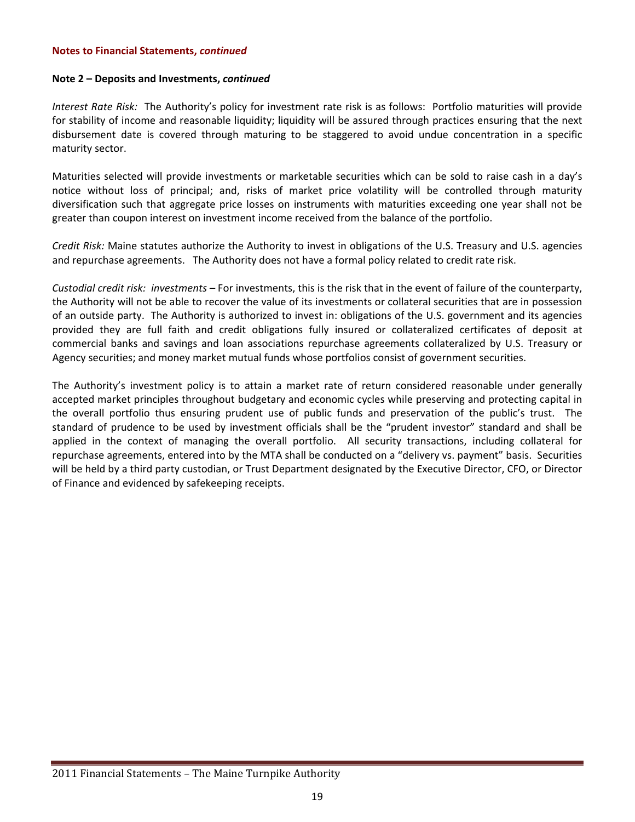#### **Note 2 – Deposits and Investments,** *continued*

*Interest Rate Risk:* The Authority's policy for investment rate risk is as follows: Portfolio maturities will provide for stability of income and reasonable liquidity; liquidity will be assured through practices ensuring that the next disbursement date is covered through maturing to be staggered to avoid undue concentration in a specific maturity sector.

Maturities selected will provide investments or marketable securities which can be sold to raise cash in a day's notice without loss of principal; and, risks of market price volatility will be controlled through maturity diversification such that aggregate price losses on instruments with maturities exceeding one year shall not be greater than coupon interest on investment income received from the balance of the portfolio.

*Credit Risk:* Maine statutes authorize the Authority to invest in obligations of the U.S. Treasury and U.S. agencies and repurchase agreements. The Authority does not have a formal policy related to credit rate risk.

*Custodial credit risk: investments –* For investments, this is the risk that in the event of failure of the counterparty, the Authority will not be able to recover the value of its investments or collateral securities that are in possession of an outside party. The Authority is authorized to invest in: obligations of the U.S. government and its agencies provided they are full faith and credit obligations fully insured or collateralized certificates of deposit at commercial banks and savings and loan associations repurchase agreements collateralized by U.S. Treasury or Agency securities; and money market mutual funds whose portfolios consist of government securities.

The Authority's investment policy is to attain a market rate of return considered reasonable under generally accepted market principles throughout budgetary and economic cycles while preserving and protecting capital in the overall portfolio thus ensuring prudent use of public funds and preservation of the public's trust. The standard of prudence to be used by investment officials shall be the "prudent investor" standard and shall be applied in the context of managing the overall portfolio. All security transactions, including collateral for repurchase agreements, entered into by the MTA shall be conducted on a "delivery vs. payment" basis. Securities will be held by a third party custodian, or Trust Department designated by the Executive Director, CFO, or Director of Finance and evidenced by safekeeping receipts.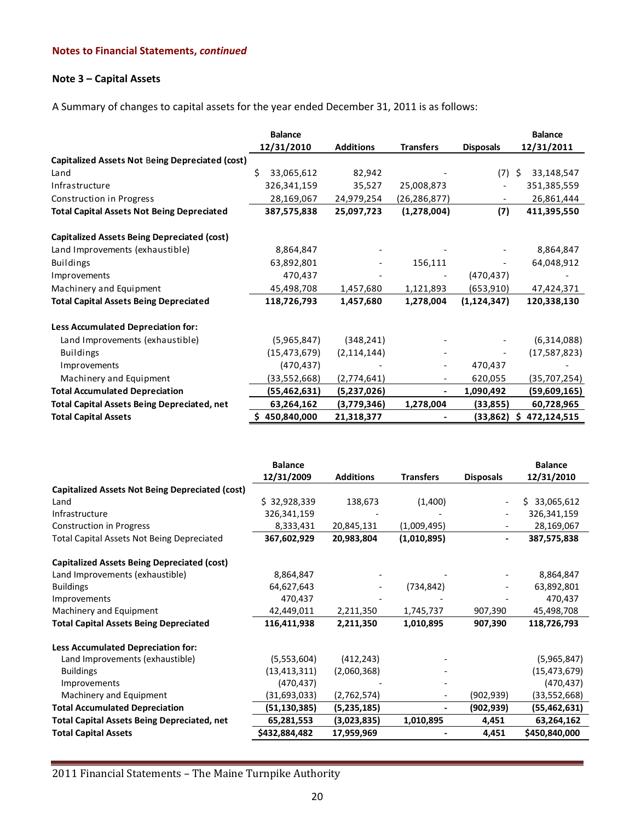## **Note 3 – Capital Assets**

A Summary of changes to capital assets for the year ended December 31, 2011 is as follows:

|                                                        | <b>Balance</b>   |                  |                  |                  | <b>Balance</b>   |
|--------------------------------------------------------|------------------|------------------|------------------|------------------|------------------|
|                                                        | 12/31/2010       | <b>Additions</b> | <b>Transfers</b> | <b>Disposals</b> | 12/31/2011       |
| <b>Capitalized Assets Not Being Depreciated (cost)</b> |                  |                  |                  |                  |                  |
| Land                                                   | 33,065,612<br>Ś. | 82,942           |                  | (7)              | 33,148,547<br>S  |
| Infrastructure                                         | 326,341,159      | 35,527           | 25,008,873       | $\overline{a}$   | 351,385,559      |
| Construction in Progress                               | 28,169,067       | 24,979,254       | (26,286,877)     |                  | 26,861,444       |
| <b>Total Capital Assets Not Being Depreciated</b>      | 387,575,838      | 25,097,723       | (1,278,004)      | (7)              | 411,395,550      |
| <b>Capitalized Assets Being Depreciated (cost)</b>     |                  |                  |                  |                  |                  |
| Land Improvements (exhaustible)                        | 8,864,847        |                  |                  |                  | 8,864,847        |
| <b>Buildings</b>                                       | 63,892,801       |                  | 156,111          |                  | 64,048,912       |
| Improvements                                           | 470,437          |                  |                  | (470, 437)       |                  |
| Machinery and Equipment                                | 45,498,708       | 1,457,680        | 1,121,893        | (653,910)        | 47,424,371       |
| <b>Total Capital Assets Being Depreciated</b>          | 118,726,793      | 1,457,680        | 1,278,004        | (1, 124, 347)    | 120,338,130      |
| <b>Less Accumulated Depreciation for:</b>              |                  |                  |                  |                  |                  |
| Land Improvements (exhaustible)                        | (5,965,847)      | (348, 241)       |                  |                  | (6,314,088)      |
| <b>Buildings</b>                                       | (15, 473, 679)   | (2, 114, 144)    |                  |                  | (17, 587, 823)   |
| Improvements                                           | (470, 437)       |                  |                  | 470,437          |                  |
| Machinery and Equipment                                | (33,552,668)     | (2,774,641)      |                  | 620,055          | (35,707,254)     |
| <b>Total Accumulated Depreciation</b>                  | (55, 462, 631)   | (5,237,026)      |                  | 1,090,492        | (59,609,165)     |
| <b>Total Capital Assets Being Depreciated, net</b>     | 63,264,162       | (3,779,346)      | 1,278,004        | (33, 855)        | 60,728,965       |
| <b>Total Capital Assets</b>                            | 450,840,000      | 21,318,377       |                  | (33, 862)        | 472,124,515<br>S |

|                                                        | <b>Balance</b> |                  |                  |                          | <b>Balance</b> |
|--------------------------------------------------------|----------------|------------------|------------------|--------------------------|----------------|
|                                                        | 12/31/2009     | <b>Additions</b> | <b>Transfers</b> | <b>Disposals</b>         | 12/31/2010     |
| <b>Capitalized Assets Not Being Depreciated (cost)</b> |                |                  |                  |                          |                |
| Land                                                   | \$32,928,339   | 138,673          | (1,400)          |                          | 33,065,612     |
| Infrastructure                                         | 326,341,159    |                  |                  |                          | 326,341,159    |
| Construction in Progress                               | 8,333,431      | 20,845,131       | (1,009,495)      |                          | 28,169,067     |
| <b>Total Capital Assets Not Being Depreciated</b>      | 367,602,929    | 20,983,804       | (1,010,895)      | $\overline{\phantom{0}}$ | 387,575,838    |
| Capitalized Assets Being Depreciated (cost)            |                |                  |                  |                          |                |
| Land Improvements (exhaustible)                        | 8,864,847      |                  |                  |                          | 8,864,847      |
| <b>Buildings</b>                                       | 64,627,643     |                  | (734, 842)       |                          | 63,892,801     |
| Improvements                                           | 470,437        |                  |                  |                          | 470,437        |
| Machinery and Equipment                                | 42,449,011     | 2,211,350        | 1,745,737        | 907,390                  | 45,498,708     |
| <b>Total Capital Assets Being Depreciated</b>          | 116,411,938    | 2,211,350        | 1,010,895        | 907,390                  | 118,726,793    |
| Less Accumulated Depreciation for:                     |                |                  |                  |                          |                |
| Land Improvements (exhaustible)                        | (5,553,604)    | (412, 243)       |                  |                          | (5,965,847)    |
| <b>Buildings</b>                                       | (13, 413, 311) | (2,060,368)      |                  |                          | (15, 473, 679) |
| Improvements                                           | (470, 437)     |                  |                  |                          | (470, 437)     |
| Machinery and Equipment                                | (31,693,033)   | (2,762,574)      |                  | (902,939)                | (33, 552, 668) |
| <b>Total Accumulated Depreciation</b>                  | (51, 130, 385) | (5,235,185)      |                  | (902, 939)               | (55, 462, 631) |
| <b>Total Capital Assets Being Depreciated, net</b>     | 65,281,553     | (3,023,835)      | 1,010,895        | 4,451                    | 63,264,162     |
| <b>Total Capital Assets</b>                            | \$432,884,482  | 17,959,969       |                  | 4,451                    | \$450,840,000  |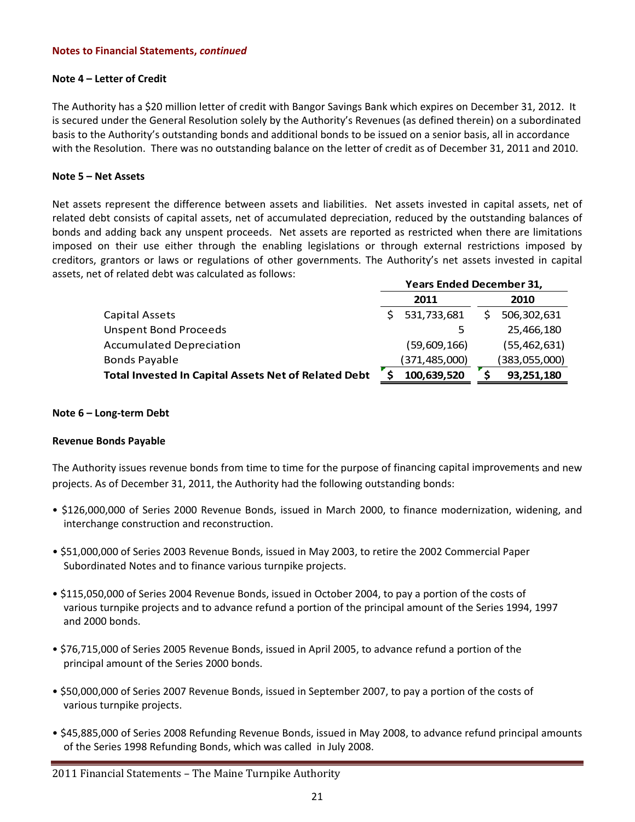#### **Note 4 – Letter of Credit**

The Authority has a \$20 million letter of credit with Bangor Savings Bank which expires on December 31, 2012. It is secured under the General Resolution solely by the Authority's Revenues (as defined therein) on a subordinated basis to the Authority's outstanding bonds and additional bonds to be issued on a senior basis, all in accordance with the Resolution. There was no outstanding balance on the letter of credit as of December 31, 2011 and 2010.

#### **Note 5 – Net Assets**

Net assets represent the difference between assets and liabilities. Net assets invested in capital assets, net of related debt consists of capital assets, net of accumulated depreciation, reduced by the outstanding balances of bonds and adding back any unspent proceeds. Net assets are reported as restricted when there are limitations imposed on their use either through the enabling legislations or through external restrictions imposed by creditors, grantors or laws or regulations of other governments. The Authority's net assets invested in capital assets, net of related debt was calculated as follows: **Years Ended December 31,**

| rears Ended December 31, |               |  |  |
|--------------------------|---------------|--|--|
| 2011                     | 2010          |  |  |
| 531,733,681              | 506,302,631   |  |  |
|                          | 25,466,180    |  |  |
| (59,609,166)             | (55,462,631)  |  |  |
| (371,485,000)            | (383,055,000) |  |  |
| 100,639,520              | 93,251,180    |  |  |
|                          |               |  |  |

#### **Note 6 – Long‐term Debt**

#### **Revenue Bonds Payable**

The Authority issues revenue bonds from time to time for the purpose of financing capital improvements and new projects. As of December 31, 2011, the Authority had the following outstanding bonds:

- \$126,000,000 of Series 2000 Revenue Bonds, issued in March 2000, to finance modernization, widening, and interchange construction and reconstruction.
- \$51,000,000 of Series 2003 Revenue Bonds, issued in May 2003, to retire the 2002 Commercial Paper Subordinated Notes and to finance various turnpike projects.
- \$115,050,000 of Series 2004 Revenue Bonds, issued in October 2004, to pay a portion of the costs of various turnpike projects and to advance refund a portion of the principal amount of the Series 1994, 1997 and 2000 bonds.
- \$76,715,000 of Series 2005 Revenue Bonds, issued in April 2005, to advance refund a portion of the principal amount of the Series 2000 bonds.
- \$50,000,000 of Series 2007 Revenue Bonds, issued in September 2007, to pay a portion of the costs of various turnpike projects.
- \$45,885,000 of Series 2008 Refunding Revenue Bonds, issued in May 2008, to advance refund principal amounts of the Series 1998 Refunding Bonds, which was called in July 2008.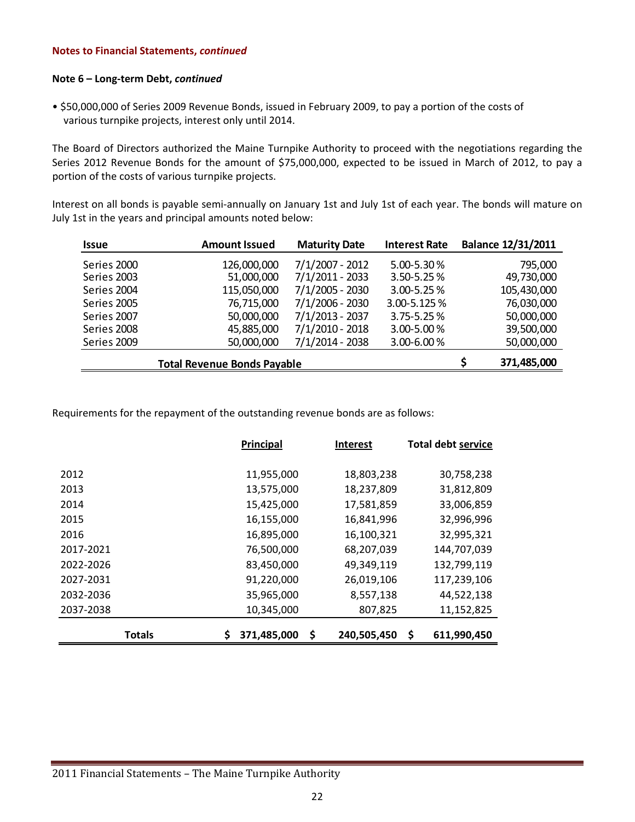#### **Note 6 – Long‐term Debt,** *continued*

• \$50,000,000 of Series 2009 Revenue Bonds, issued in February 2009, to pay a portion of the costs of various turnpike projects, interest only until 2014.

The Board of Directors authorized the Maine Turnpike Authority to proceed with the negotiations regarding the Series 2012 Revenue Bonds for the amount of \$75,000,000, expected to be issued in March of 2012, to pay a portion of the costs of various turnpike projects.

Interest on all bonds is payable semi‐annually on January 1st and July 1st of each year. The bonds will mature on July 1st in the years and principal amounts noted below:

| <b>Issue</b> | <b>Amount Issued</b> | <b>Maturity Date</b> | <b>Interest Rate</b> | <b>Balance 12/31/2011</b> |
|--------------|----------------------|----------------------|----------------------|---------------------------|
| Series 2000  | 126,000,000          | 7/1/2007 - 2012      | 5.00-5.30%           | 795,000                   |
| Series 2003  | 51,000,000           | 7/1/2011 - 2033      | 3.50-5.25%           | 49,730,000                |
| Series 2004  | 115,050,000          | 7/1/2005 - 2030      | $3.00 - 5.25 %$      | 105,430,000               |
| Series 2005  | 76,715,000           | 7/1/2006 - 2030      | 3.00-5.125%          | 76,030,000                |
| Series 2007  | 50,000,000           | 7/1/2013 - 2037      | 3.75-5.25%           | 50,000,000                |
| Series 2008  | 45,885,000           | 7/1/2010 - 2018      | 3.00-5.00%           | 39,500,000                |
| Series 2009  | 50,000,000           | $7/1/2014 - 2038$    | 3.00-6.00%           | 50,000,000                |
|              | 371,485,000          |                      |                      |                           |

Requirements for the repayment of the outstanding revenue bonds are as follows:

|               | <b>Principal</b> | <b>Interest</b>  |                   |
|---------------|------------------|------------------|-------------------|
|               |                  |                  |                   |
| 2012          | 11,955,000       | 18,803,238       | 30,758,238        |
| 2013          | 13,575,000       | 18,237,809       | 31,812,809        |
| 2014          | 15,425,000       | 17,581,859       | 33,006,859        |
| 2015          | 16,155,000       | 16,841,996       | 32,996,996        |
| 2016          | 16,895,000       | 16,100,321       | 32,995,321        |
| 2017-2021     | 76,500,000       | 68,207,039       | 144,707,039       |
| 2022-2026     | 83,450,000       | 49,349,119       | 132,799,119       |
| 2027-2031     | 91,220,000       | 26,019,106       | 117,239,106       |
| 2032-2036     | 35,965,000       | 8,557,138        | 44,522,138        |
| 2037-2038     | 10,345,000       | 807,825          | 11,152,825        |
| <b>Totals</b> | 371,485,000      | 240,505,450<br>S | \$<br>611,990,450 |
|               |                  |                  |                   |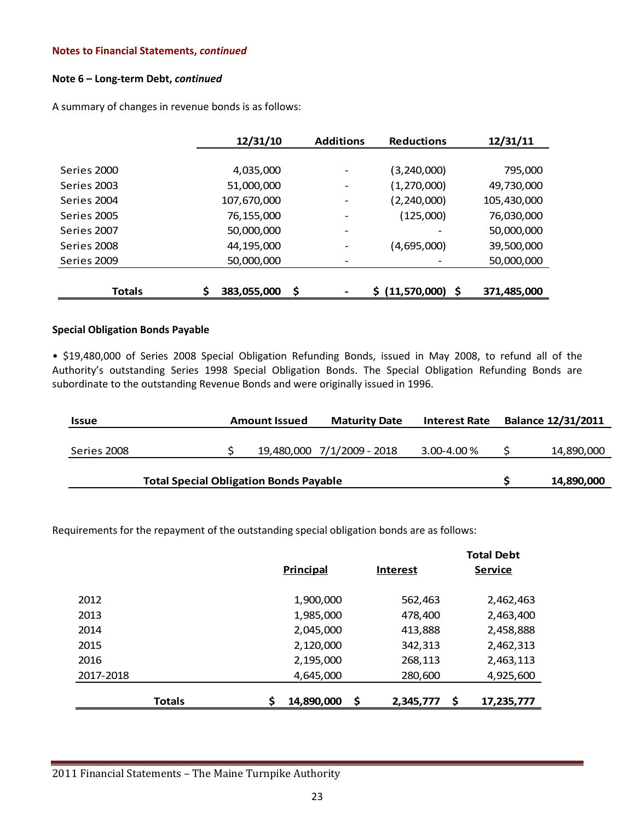#### **Note 6 – Long‐term Debt,** *continued*

A summary of changes in revenue bonds is as follows:

|               | 12/31/10                | <b>Additions</b>         | <b>Reductions</b>  | 12/31/11    |
|---------------|-------------------------|--------------------------|--------------------|-------------|
|               |                         |                          |                    |             |
| Series 2000   | 4,035,000               |                          | (3, 240, 000)      | 795,000     |
| Series 2003   | 51,000,000              |                          | (1, 270, 000)      | 49,730,000  |
| Series 2004   | 107,670,000             |                          | (2, 240, 000)      | 105,430,000 |
| Series 2005   | 76,155,000              |                          | (125,000)          | 76,030,000  |
| Series 2007   | 50,000,000              | $\overline{\phantom{a}}$ |                    | 50,000,000  |
| Series 2008   | 44,195,000              |                          | (4,695,000)        | 39,500,000  |
| Series 2009   | 50,000,000              |                          |                    | 50,000,000  |
|               |                         |                          |                    |             |
| <b>Totals</b> | \$<br>383,055,000<br>\$ | -                        | \$ (11,570,000) \$ | 371,485,000 |

#### **Special Obligation Bonds Payable**

• \$19,480,000 of Series 2008 Special Obligation Refunding Bonds, issued in May 2008, to refund all of the Authority's outstanding Series 1998 Special Obligation Bonds. The Special Obligation Refunding Bonds are subordinate to the outstanding Revenue Bonds and were originally issued in 1996.

| <b>Issue</b> |                                               | <b>Amount Issued</b> | <b>Maturity Date</b>       | <b>Interest Rate</b> | <b>Balance 12/31/2011</b> |
|--------------|-----------------------------------------------|----------------------|----------------------------|----------------------|---------------------------|
|              |                                               |                      |                            |                      |                           |
| Series 2008  |                                               |                      | 19,480,000 7/1/2009 - 2018 | 3.00-4.00 %          | 14,890,000                |
|              |                                               |                      |                            |                      |                           |
|              | <b>Total Special Obligation Bonds Payable</b> |                      |                            |                      | 14,890,000                |

Requirements for the repayment of the outstanding special obligation bonds are as follows:

|               |                  |                 | <b>Total Debt</b> |
|---------------|------------------|-----------------|-------------------|
|               | <b>Principal</b> | <b>Interest</b> | <b>Service</b>    |
| 2012          | 1,900,000        | 562,463         | 2,462,463         |
| 2013          | 1,985,000        | 478,400         | 2,463,400         |
| 2014          | 2,045,000        | 413,888         | 2,458,888         |
| 2015          | 2,120,000        | 342,313         | 2,462,313         |
| 2016          | 2,195,000        | 268,113         | 2,463,113         |
| 2017-2018     | 4,645,000        | 280,600         | 4,925,600         |
| <b>Totals</b> | \$<br>14,890,000 | Ŝ.<br>2,345,777 | 17,235,777        |
|               |                  |                 |                   |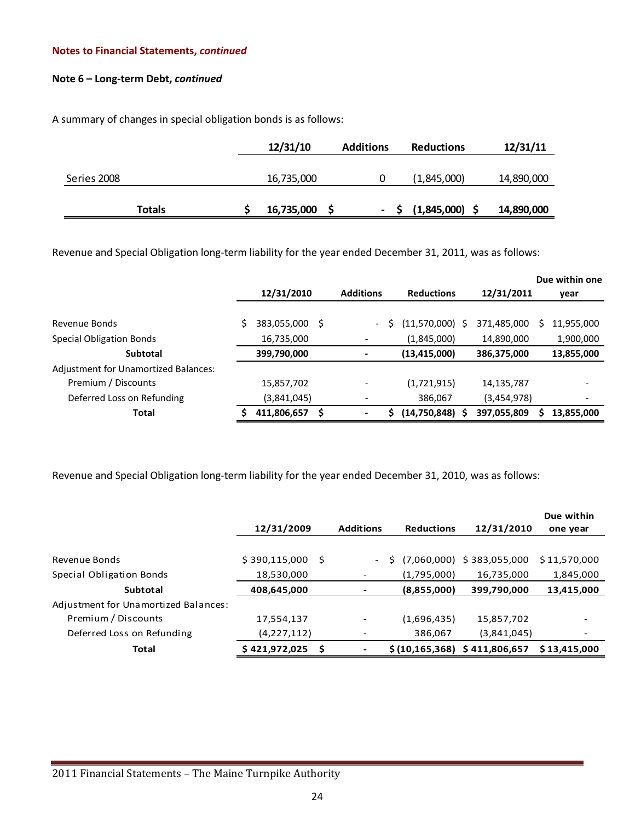#### **Note 6 – Long‐term Debt,** *continued*

A summary of changes in special obligation bonds is as follows:

|               | 12/31/10   | <b>Additions</b> | <b>Reductions</b> | 12/31/11   |
|---------------|------------|------------------|-------------------|------------|
|               |            |                  |                   |            |
| Series 2008   | 16,735,000 |                  | (1,845,000)       | 14,890,000 |
|               |            |                  |                   |            |
| <b>Totals</b> | 16,735,000 |                  | (1,845,000)       | 14,890,000 |

Revenue and Special Obligation long-term liability for the year ended December 31, 2011, was as follows:

|                                      |             |                               |                   |             | Due within one   |
|--------------------------------------|-------------|-------------------------------|-------------------|-------------|------------------|
|                                      | 12/31/2010  | <b>Additions</b>              | <b>Reductions</b> | 12/31/2011  | year             |
|                                      |             |                               |                   |             |                  |
| Revenue Bonds                        | 383,055,000 | S<br>$\overline{\phantom{0}}$ | $(11,570,000)$ \$ | 371,485,000 | 11,955,000<br>S. |
| <b>Special Obligation Bonds</b>      | 16,735,000  |                               | (1,845,000)       | 14,890,000  | 1,900,000        |
| <b>Subtotal</b>                      | 399,790,000 | $\blacksquare$                | (13, 415, 000)    | 386,375,000 | 13,855,000       |
| Adjustment for Unamortized Balances: |             |                               |                   |             |                  |
| Premium / Discounts                  | 15,857,702  | $\qquad \qquad \blacksquare$  | (1,721,915)       | 14,135,787  |                  |
| Deferred Loss on Refunding           | (3,841,045) |                               | 386,067           | (3,454,978) |                  |
| Total                                | 411,806,657 | S<br>$\blacksquare$           | (14,750,848) \$   | 397,055,809 | 13,855,000       |

Revenue and Special Obligation long-term liability for the year ended December 31, 2010, was as follows:

|                                      | 12/31/2009    |    | <b>Additions</b>         | <b>Reductions</b>                | 12/31/2010    | Due within<br>one year |
|--------------------------------------|---------------|----|--------------------------|----------------------------------|---------------|------------------------|
|                                      |               |    |                          |                                  |               |                        |
| Revenue Bonds                        | \$390,115,000 | -S | $\sim$                   | (7,060,000)                      | \$383,055,000 | \$11,570,000           |
| Special Obligation Bonds             | 18,530,000    |    |                          | (1,795,000)                      | 16,735,000    | 1,845,000              |
| <b>Subtotal</b>                      | 408,645,000   |    |                          | (8,855,000)                      | 399,790,000   | 13,415,000             |
| Adjustment for Unamortized Balances: |               |    |                          |                                  |               |                        |
| Premium / Discounts                  | 17,554,137    |    | $\overline{\phantom{a}}$ | (1,696,435)                      | 15,857,702    |                        |
| Deferred Loss on Refunding           | (4,227,112)   |    |                          | 386,067                          | (3,841,045)   |                        |
| <b>Total</b>                         | \$421,972,025 | S  |                          | \$(10, 165, 368) \$411, 806, 657 |               | \$13,415,000           |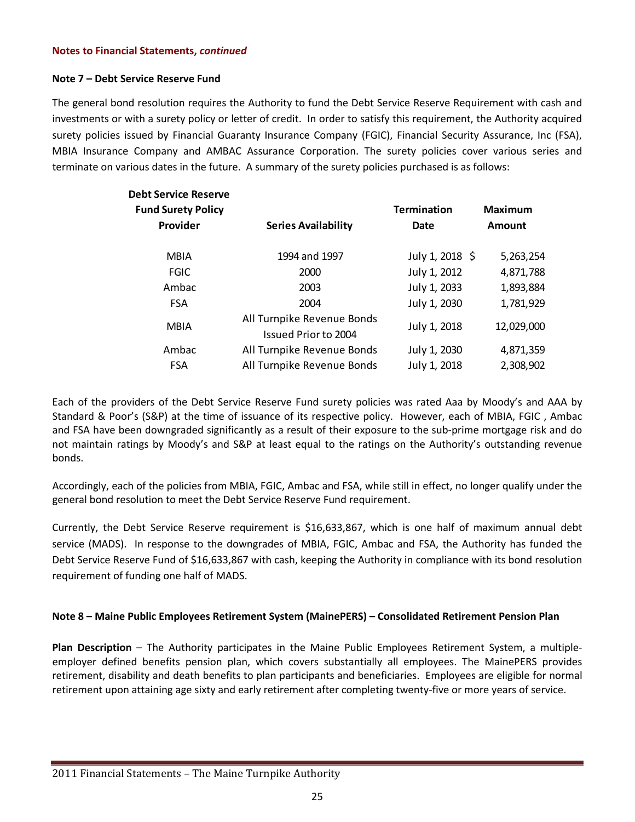#### **Note 7 – Debt Service Reserve Fund**

The general bond resolution requires the Authority to fund the Debt Service Reserve Requirement with cash and investments or with a surety policy or letter of credit. In order to satisfy this requirement, the Authority acquired surety policies issued by Financial Guaranty Insurance Company (FGIC), Financial Security Assurance, Inc (FSA), MBIA Insurance Company and AMBAC Assurance Corporation. The surety policies cover various series and terminate on various dates in the future. A summary of the surety policies purchased is as follows:

| <b>Debt Service Reserve</b> |                                                    |                    |                |
|-----------------------------|----------------------------------------------------|--------------------|----------------|
| <b>Fund Surety Policy</b>   |                                                    | <b>Termination</b> | <b>Maximum</b> |
| Provider                    | <b>Series Availability</b>                         | Date               | Amount         |
| <b>MBIA</b>                 | 1994 and 1997                                      | July 1, 2018 \$    | 5,263,254      |
| <b>FGIC</b>                 | 2000                                               | July 1, 2012       | 4,871,788      |
| Ambac                       | 2003                                               | July 1, 2033       | 1,893,884      |
| <b>FSA</b>                  | 2004                                               | July 1, 2030       | 1,781,929      |
| <b>MBIA</b>                 | All Turnpike Revenue Bonds<br>Issued Prior to 2004 | July 1, 2018       | 12,029,000     |
| Ambac                       | All Turnpike Revenue Bonds                         | July 1, 2030       | 4,871,359      |
| <b>FSA</b>                  | All Turnpike Revenue Bonds                         | July 1, 2018       | 2,308,902      |

Each of the providers of the Debt Service Reserve Fund surety policies was rated Aaa by Moody's and AAA by Standard & Poor's (S&P) at the time of issuance of its respective policy. However, each of MBIA, FGIC , Ambac and FSA have been downgraded significantly as a result of their exposure to the sub‐prime mortgage risk and do not maintain ratings by Moody's and S&P at least equal to the ratings on the Authority's outstanding revenue bonds.

Accordingly, each of the policies from MBIA, FGIC, Ambac and FSA, while still in effect, no longer qualify under the general bond resolution to meet the Debt Service Reserve Fund requirement.

Currently, the Debt Service Reserve requirement is \$16,633,867, which is one half of maximum annual debt service (MADS). In response to the downgrades of MBIA, FGIC, Ambac and FSA, the Authority has funded the Debt Service Reserve Fund of \$16,633,867 with cash, keeping the Authority in compliance with its bond resolution requirement of funding one half of MADS.

#### **Note 8 – Maine Public Employees Retirement System (MainePERS) – Consolidated Retirement Pension Plan**

**Plan Description** – The Authority participates in the Maine Public Employees Retirement System, a multiple‐ employer defined benefits pension plan, which covers substantially all employees. The MainePERS provides retirement, disability and death benefits to plan participants and beneficiaries. Employees are eligible for normal retirement upon attaining age sixty and early retirement after completing twenty‐five or more years of service.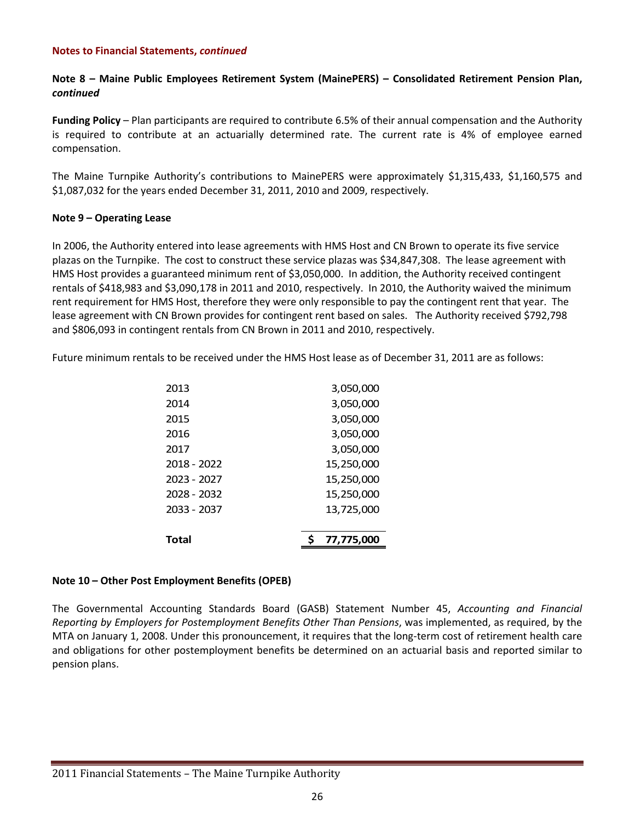#### **Note 8 – Maine Public Employees Retirement System (MainePERS) – Consolidated Retirement Pension Plan,** *continued*

**Funding Policy** – Plan participants are required to contribute 6.5% of their annual compensation and the Authority is required to contribute at an actuarially determined rate. The current rate is 4% of employee earned compensation.

The Maine Turnpike Authority's contributions to MainePERS were approximately \$1,315,433, \$1,160,575 and \$1,087,032 for the years ended December 31, 2011, 2010 and 2009, respectively.

#### **Note 9 – Operating Lease**

In 2006, the Authority entered into lease agreements with HMS Host and CN Brown to operate its five service plazas on the Turnpike. The cost to construct these service plazas was \$34,847,308. The lease agreement with HMS Host provides a guaranteed minimum rent of \$3,050,000. In addition, the Authority received contingent rentals of \$418,983 and \$3,090,178 in 2011 and 2010, respectively. In 2010, the Authority waived the minimum rent requirement for HMS Host, therefore they were only responsible to pay the contingent rent that year. The lease agreement with CN Brown provides for contingent rent based on sales. The Authority received \$792,798 and \$806,093 in contingent rentals from CN Brown in 2011 and 2010, respectively.

Future minimum rentals to be received under the HMS Host lease as of December 31, 2011 are as follows:

| Total       | 77,775,000 |
|-------------|------------|
|             |            |
| 2033 - 2037 | 13,725,000 |
| 2028 - 2032 | 15,250,000 |
| 2023 - 2027 | 15,250,000 |
| 2018 - 2022 | 15,250,000 |
| 2017        | 3,050,000  |
| 2016        | 3,050,000  |
| 2015        | 3,050,000  |
| 2014        | 3,050,000  |
| 2013        | 3,050,000  |

#### **Note 10 – Other Post Employment Benefits (OPEB)**

The Governmental Accounting Standards Board (GASB) Statement Number 45, *Accounting and Financial Reporting by Employers for Postemployment Benefits Other Than Pensions*, was implemented, as required, by the MTA on January 1, 2008. Under this pronouncement, it requires that the long-term cost of retirement health care and obligations for other postemployment benefits be determined on an actuarial basis and reported similar to pension plans.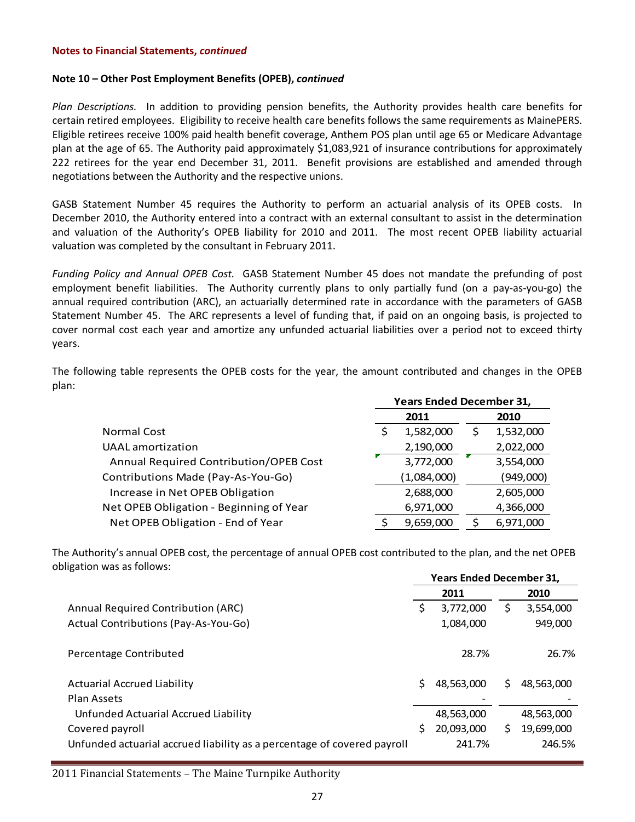#### **Note 10 – Other Post Employment Benefits (OPEB),** *continued*

*Plan Descriptions.*  In addition to providing pension benefits, the Authority provides health care benefits for certain retired employees. Eligibility to receive health care benefits follows the same requirements as MainePERS. Eligible retirees receive 100% paid health benefit coverage, Anthem POS plan until age 65 or Medicare Advantage plan at the age of 65. The Authority paid approximately \$1,083,921 of insurance contributions for approximately 222 retirees for the year end December 31, 2011. Benefit provisions are established and amended through negotiations between the Authority and the respective unions.

GASB Statement Number 45 requires the Authority to perform an actuarial analysis of its OPEB costs. In December 2010, the Authority entered into a contract with an external consultant to assist in the determination and valuation of the Authority's OPEB liability for 2010 and 2011. The most recent OPEB liability actuarial valuation was completed by the consultant in February 2011.

*Funding Policy and Annual OPEB Cost.* GASB Statement Number 45 does not mandate the prefunding of post employment benefit liabilities. The Authority currently plans to only partially fund (on a pay-as-you-go) the annual required contribution (ARC), an actuarially determined rate in accordance with the parameters of GASB Statement Number 45. The ARC represents a level of funding that, if paid on an ongoing basis, is projected to cover normal cost each year and amortize any unfunded actuarial liabilities over a period not to exceed thirty years.

The following table represents the OPEB costs for the year, the amount contributed and changes in the OPEB plan:

|                                         | <b>Years Ended December 31,</b> |             |   |           |  |
|-----------------------------------------|---------------------------------|-------------|---|-----------|--|
|                                         | 2011                            |             |   | 2010      |  |
| <b>Normal Cost</b>                      |                                 | 1,582,000   | S | 1,532,000 |  |
| <b>UAAL</b> amortization                |                                 | 2,190,000   |   | 2,022,000 |  |
| Annual Required Contribution/OPEB Cost  |                                 | 3,772,000   |   | 3,554,000 |  |
| Contributions Made (Pay-As-You-Go)      |                                 | (1,084,000) |   | (949,000) |  |
| Increase in Net OPEB Obligation         |                                 | 2,688,000   |   | 2,605,000 |  |
| Net OPEB Obligation - Beginning of Year |                                 | 6,971,000   |   | 4,366,000 |  |
| Net OPEB Obligation - End of Year       |                                 | 9,659,000   |   | 6,971,000 |  |

The Authority's annual OPEB cost, the percentage of annual OPEB cost contributed to the plan, and the net OPEB obligation was as follows:

|                                                                         | <b>Years Ended December 31,</b> |            |   |            |
|-------------------------------------------------------------------------|---------------------------------|------------|---|------------|
|                                                                         |                                 | 2011       |   | 2010       |
| Annual Required Contribution (ARC)                                      | S                               | 3,772,000  | Ş | 3,554,000  |
| Actual Contributions (Pay-As-You-Go)                                    |                                 | 1,084,000  |   | 949,000    |
| Percentage Contributed                                                  |                                 | 28.7%      |   | 26.7%      |
| <b>Actuarial Accrued Liability</b>                                      | Ś.                              | 48,563,000 | Ś | 48,563,000 |
| Plan Assets                                                             |                                 |            |   |            |
| Unfunded Actuarial Accrued Liability                                    |                                 | 48,563,000 |   | 48,563,000 |
| Covered payroll                                                         | S                               | 20,093,000 | Ś | 19,699,000 |
| Unfunded actuarial accrued liability as a percentage of covered payroll |                                 | 241.7%     |   | 246.5%     |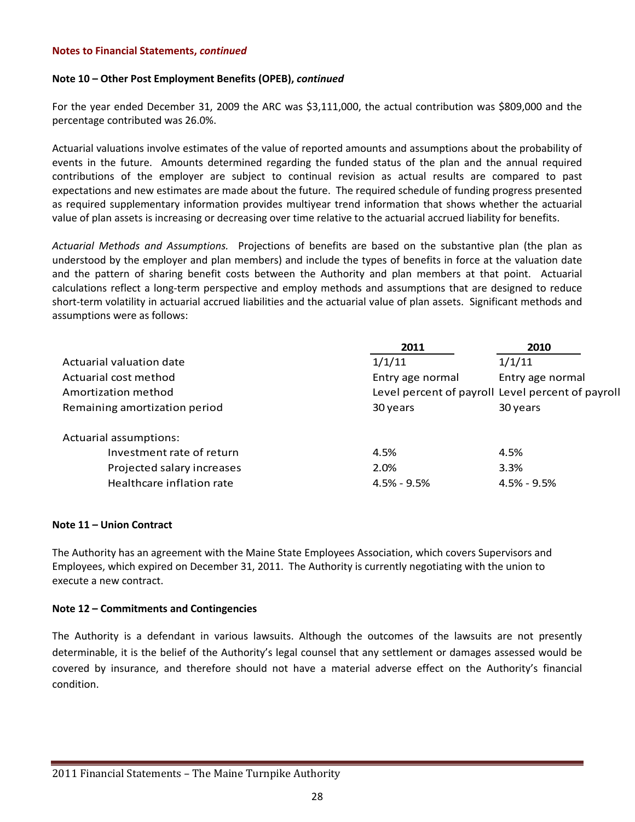#### **Note 10 – Other Post Employment Benefits (OPEB),** *continued*

For the year ended December 31, 2009 the ARC was \$3,111,000, the actual contribution was \$809,000 and the percentage contributed was 26.0%.

Actuarial valuations involve estimates of the value of reported amounts and assumptions about the probability of events in the future. Amounts determined regarding the funded status of the plan and the annual required contributions of the employer are subject to continual revision as actual results are compared to past expectations and new estimates are made about the future. The required schedule of funding progress presented as required supplementary information provides multiyear trend information that shows whether the actuarial value of plan assets is increasing or decreasing over time relative to the actuarial accrued liability for benefits.

*Actuarial Methods and Assumptions.*  Projections of benefits are based on the substantive plan (the plan as understood by the employer and plan members) and include the types of benefits in force at the valuation date and the pattern of sharing benefit costs between the Authority and plan members at that point. Actuarial calculations reflect a long‐term perspective and employ methods and assumptions that are designed to reduce short-term volatility in actuarial accrued liabilities and the actuarial value of plan assets. Significant methods and assumptions were as follows:

|                               | 2011             | 2010                                              |
|-------------------------------|------------------|---------------------------------------------------|
| Actuarial valuation date      | 1/1/11           | 1/1/11                                            |
| Actuarial cost method         | Entry age normal | Entry age normal                                  |
| Amortization method           |                  | Level percent of payroll Level percent of payroll |
| Remaining amortization period | 30 years         | 30 years                                          |
| Actuarial assumptions:        |                  |                                                   |
| Investment rate of return     | 4.5%             | 4.5%                                              |
| Projected salary increases    | 2.0%             | 3.3%                                              |
| Healthcare inflation rate     | $4.5\% - 9.5\%$  | $4.5\% - 9.5\%$                                   |

#### **Note 11 – Union Contract**

The Authority has an agreement with the Maine State Employees Association, which covers Supervisors and Employees, which expired on December 31, 2011. The Authority is currently negotiating with the union to execute a new contract.

#### **Note 12 – Commitments and Contingencies**

The Authority is a defendant in various lawsuits. Although the outcomes of the lawsuits are not presently determinable, it is the belief of the Authority's legal counsel that any settlement or damages assessed would be covered by insurance, and therefore should not have a material adverse effect on the Authority's financial condition.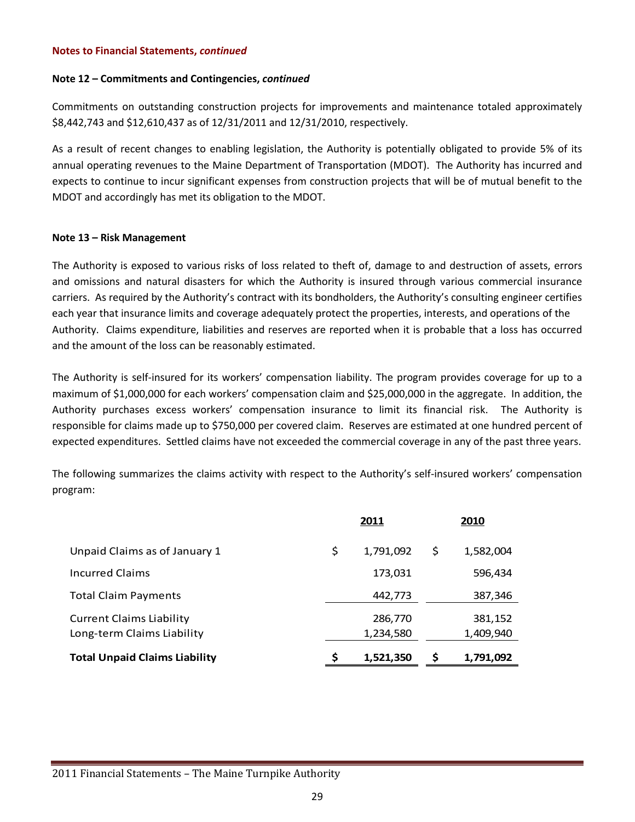#### **Note 12 – Commitments and Contingencies,** *continued*

Commitments on outstanding construction projects for improvements and maintenance totaled approximately \$8,442,743 and \$12,610,437 as of 12/31/2011 and 12/31/2010, respectively.

As a result of recent changes to enabling legislation, the Authority is potentially obligated to provide 5% of its annual operating revenues to the Maine Department of Transportation (MDOT). The Authority has incurred and expects to continue to incur significant expenses from construction projects that will be of mutual benefit to the MDOT and accordingly has met its obligation to the MDOT.

#### **Note 13 – Risk Management**

The Authority is exposed to various risks of loss related to theft of, damage to and destruction of assets, errors and omissions and natural disasters for which the Authority is insured through various commercial insurance carriers. As required by the Authority's contract with its bondholders, the Authority's consulting engineer certifies each year that insurance limits and coverage adequately protect the properties, interests, and operations of the Authority. Claims expenditure, liabilities and reserves are reported when it is probable that a loss has occurred and the amount of the loss can be reasonably estimated.

The Authority is self-insured for its workers' compensation liability. The program provides coverage for up to a maximum of \$1,000,000 for each workers' compensation claim and \$25,000,000 in the aggregate. In addition, the Authority purchases excess workers' compensation insurance to limit its financial risk. The Authority is responsible for claims made up to \$750,000 per covered claim. Reserves are estimated at one hundred percent of expected expenditures. Settled claims have not exceeded the commercial coverage in any of the past three years.

The following summarizes the claims activity with respect to the Authority's self-insured workers' compensation program:

|                                                               | <u>2011</u>          |   | 2010                 |
|---------------------------------------------------------------|----------------------|---|----------------------|
| Unpaid Claims as of January 1                                 | \$<br>1,791,092      | S | 1,582,004            |
| <b>Incurred Claims</b>                                        | 173,031              |   | 596,434              |
| <b>Total Claim Payments</b>                                   | 442,773              |   | 387,346              |
| <b>Current Claims Liability</b><br>Long-term Claims Liability | 286,770<br>1,234,580 |   | 381,152<br>1,409,940 |
| <b>Total Unpaid Claims Liability</b>                          | 1,521,350            |   | 1,791,092            |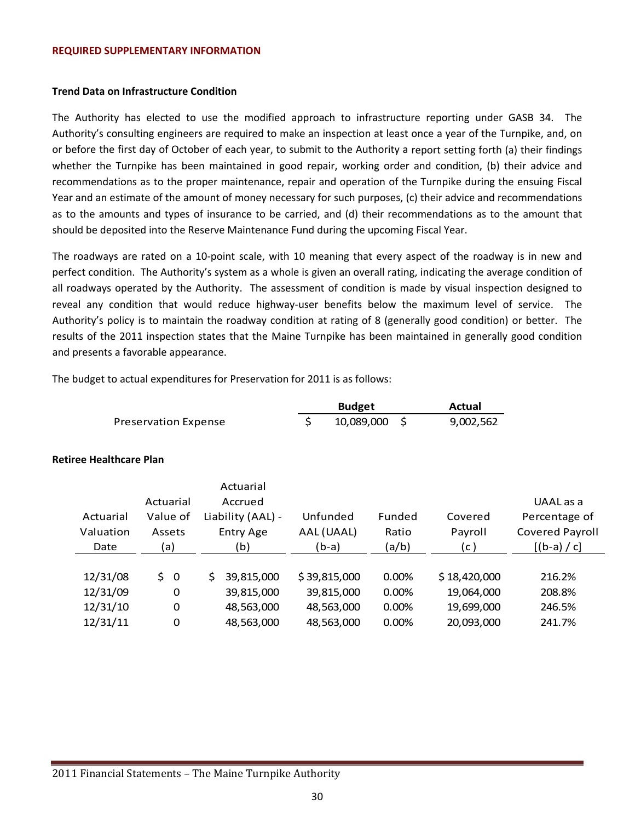#### **REQUIRED SUPPLEMENTARY INFORMATION**

#### **Trend Data on Infrastructure Condition**

The Authority has elected to use the modified approach to infrastructure reporting under GASB 34. The Authority's consulting engineers are required to make an inspection at least once a year of the Turnpike, and, on or before the first day of October of each year, to submit to the Authority a report setting forth (a) their findings whether the Turnpike has been maintained in good repair, working order and condition, (b) their advice and recommendations as to the proper maintenance, repair and operation of the Turnpike during the ensuing Fiscal Year and an estimate of the amount of money necessary for such purposes, (c) their advice and recommendations as to the amounts and types of insurance to be carried, and (d) their recommendations as to the amount that should be deposited into the Reserve Maintenance Fund during the upcoming Fiscal Year.

The roadways are rated on a 10‐point scale, with 10 meaning that every aspect of the roadway is in new and perfect condition. The Authority's system as a whole is given an overall rating, indicating the average condition of all roadways operated by the Authority. The assessment of condition is made by visual inspection designed to reveal any condition that would reduce highway-user benefits below the maximum level of service. The Authority's policy is to maintain the roadway condition at rating of 8 (generally good condition) or better. The results of the 2011 inspection states that the Maine Turnpike has been maintained in generally good condition and presents a favorable appearance.

The budget to actual expenditures for Preservation for 2011 is as follows:

|                             | <b>Budget</b> |               |  | Actual    |
|-----------------------------|---------------|---------------|--|-----------|
| <b>Preservation Expense</b> |               | 10,089,000 \$ |  | 9,002,562 |

#### **Retiree Healthcare Plan**

|           | Actuarial         |              |        |              |                        |
|-----------|-------------------|--------------|--------|--------------|------------------------|
| Actuarial | Accrued           |              |        |              | UAAL as a              |
| Value of  | Liability (AAL) - | Unfunded     | Funded | Covered      | Percentage of          |
| Assets    | <b>Entry Age</b>  | AAL (UAAL)   | Ratio  | Payroll      | <b>Covered Payroll</b> |
| (a)       | (b)               | (b-a)        | (a/b)  | (c)          | $[(b-a) / c]$          |
|           |                   |              |        |              |                        |
| 50        | 39,815,000<br>S   | \$39,815,000 | 0.00%  | \$18,420,000 | 216.2%                 |
| 0         | 39,815,000        | 39,815,000   | 0.00%  | 19,064,000   | 208.8%                 |
| $\Omega$  | 48,563,000        | 48,563,000   | 0.00%  | 19,699,000   | 246.5%                 |
| 0         | 48,563,000        | 48,563,000   | 0.00%  | 20,093,000   | 241.7%                 |
|           |                   |              |        |              |                        |